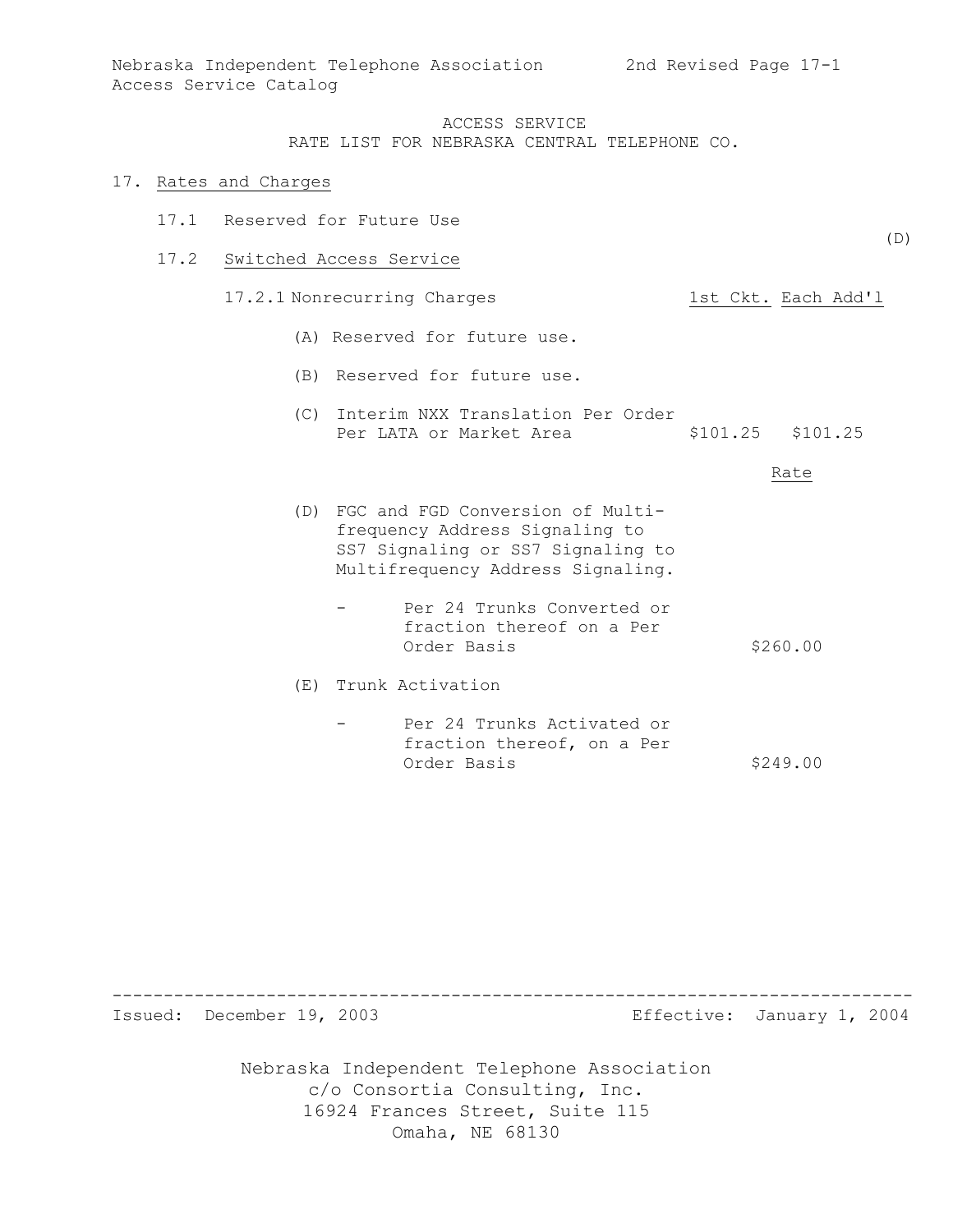RATE LIST FOR NEBRASKA CENTRAL TELEPHONE CO.

#### 17. Rates and Charges

17.1 Reserved for Future Use

#### 17.2 Switched Access Service

- 17.2.1 Nonrecurring Charges 1st Ckt. Each Add'l
	- (A) Reserved for future use.
	- (B) Reserved for future use.
	- (C) Interim NXX Translation Per Order Per LATA or Market Area  $$101.25$  \$101.25

Rate

- (D) FGC and FGD Conversion of Multifrequency Address Signaling to SS7 Signaling or SS7 Signaling to Multifrequency Address Signaling.
	- Per 24 Trunks Converted or fraction thereof on a Per Order Basis  $$260.00$

(E) Trunk Activation

- Per 24 Trunks Activated or fraction thereof, on a Per Order Basis \$249.00

------------------------------------------------------------------------------ Issued: December 19, 2003 Effective: January 1, 2004

> Nebraska Independent Telephone Association c/o Consortia Consulting, Inc. 16924 Frances Street, Suite 115 Omaha, NE 68130

(D)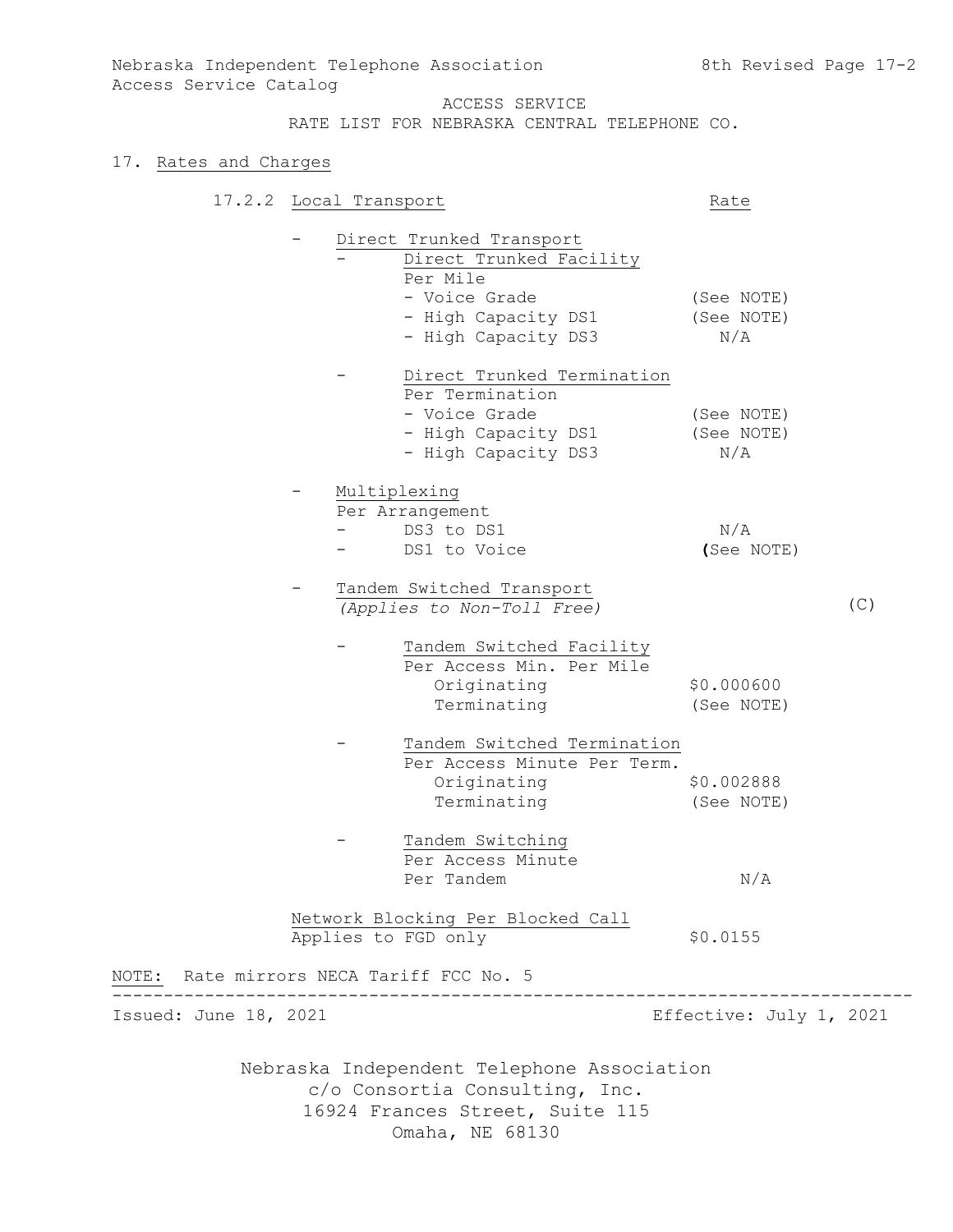# 17. Rates and Charges

|                                          | 17.2.2 Local Transport |                                                                                                                 | Rate                            |     |
|------------------------------------------|------------------------|-----------------------------------------------------------------------------------------------------------------|---------------------------------|-----|
|                                          |                        | Direct Trunked Transport<br>Direct Trunked Facility<br>Per Mile                                                 |                                 |     |
|                                          |                        | - Voice Grade<br>- High Capacity DS1<br>- High Capacity DS3                                                     | (See NOTE)<br>(See NOTE)<br>N/A |     |
|                                          |                        | Direct Trunked Termination<br>Per Termination<br>- Voice Grade<br>- High Capacity DS1<br>- High Capacity DS3    | (See NOTE)<br>(See NOTE)<br>N/A |     |
|                                          |                        | Multiplexing<br>Per Arrangement<br>DS3 to DS1<br>DS1 to Voice                                                   | N/A<br>(See NOTE)               |     |
|                                          |                        | Tandem Switched Transport<br>(Applies to Non-Toll Free)                                                         |                                 | (C) |
|                                          |                        | Tandem Switched Facility<br>Per Access Min. Per Mile<br>Originating<br>Terminating                              | \$0.000600<br>(See NOTE)        |     |
|                                          |                        | Tandem Switched Termination<br>Per Access Minute Per Term.<br>Originating<br>Terminating                        | \$0.002888<br>(See NOTE)        |     |
|                                          |                        | Tandem Switching<br>Per Access Minute<br>Per Tandem                                                             | N/A                             |     |
| NOTE: Rate mirrors NECA Tariff FCC No. 5 | Applies to FGD only    | Network Blocking Per Blocked Call                                                                               | \$0.0155                        |     |
| Issued: June 18, 2021                    |                        |                                                                                                                 | Effective: July 1, 2021         |     |
|                                          |                        | Nebraska Independent Telephone Association<br>c/o Consortia Consulting, Inc.<br>16924 Frances Street, Suite 115 |                                 |     |

Omaha, NE 68130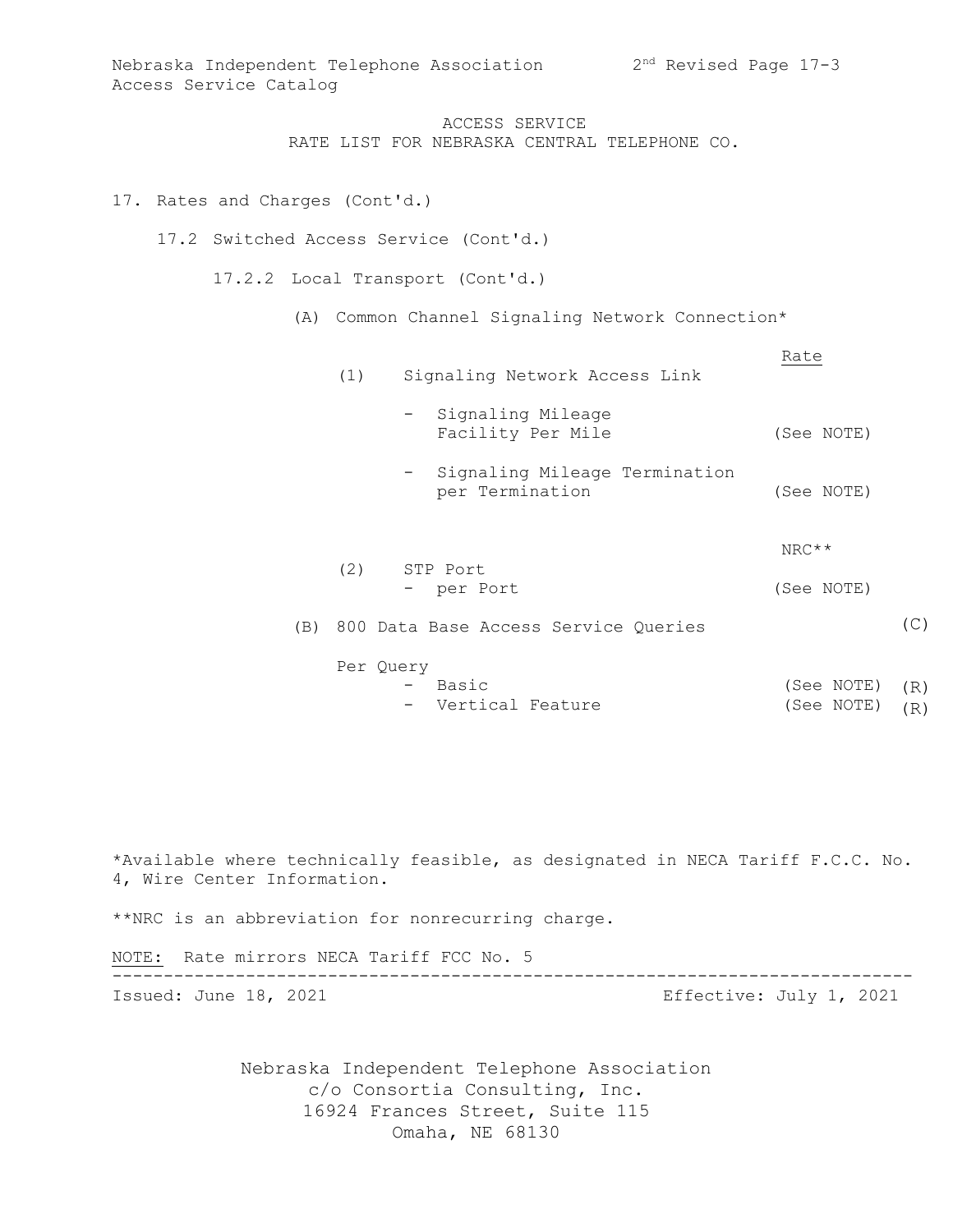ACCESS SERVICE RATE LIST FOR NEBRASKA CENTRAL TELEPHONE CO.

# 17. Rates and Charges (Cont'd.)

17.2 Switched Access Service (Cont'd.)

17.2.2 Local Transport (Cont'd.)

(A) Common Channel Signaling Network Connection\*

| (1) | Signaling Network Access Link                    | Rate       |
|-----|--------------------------------------------------|------------|
|     | - Signaling Mileage<br>Facility Per Mile         | (See NOTE) |
|     | Signaling Mileage Termination<br>per Termination | (See NOTE) |
| (2) | STP Port                                         | $NRC**$    |
|     | - per Port                                       | (See NOTE) |
|     | (B) 800 Data Base Access Service Queries         |            |

- Per Query - Basic (See NOTE) (R)
	- Vertical Feature  $(See NOTE) (R)$

 $(C)$ 

\*Available where technically feasible, as designated in NECA Tariff F.C.C. No. 4, Wire Center Information. \*\*NRC is an abbreviation for nonrecurring charge.

NOTE:Rate mirrors NECA Tariff FCC No. 5 ------------------------------------------------------------------------------ Issued: June 18, 2021 Effective: July 1, 2021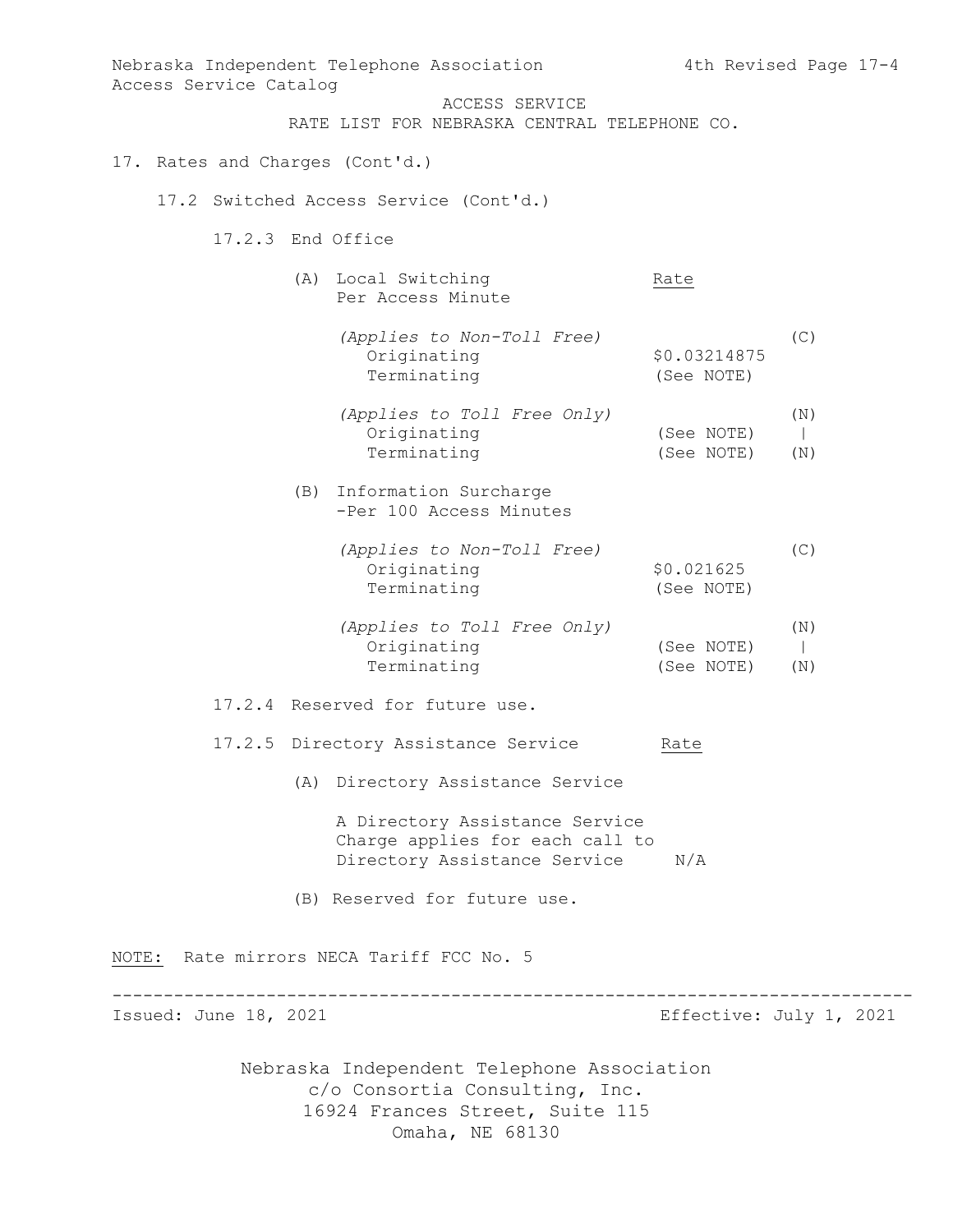Nebraska Independent Telephone Association c/o Consortia Consulting, Inc. 16924 Frances Street, Suite 115 Nebraska Independent Telephone Association 4th Revised Page 17-4 Access Service Catalog ACCESS SERVICE RATE LIST FOR NEBRASKA CENTRAL TELEPHONE CO. 17. Rates and Charges (Cont'd.) 17.2 Switched Access Service (Cont'd.) 17.2.3 End Office (A) Local Switching Rate Per Access Minute *(Applies to Non-Toll Free)* (C) erred<br>Originating \$0.03214875 Terminating (See NOTE) *(Applies to Toll Free Only)* (N) Originating (See NOTE) | Terminating (See NOTE) (N) (B) Information Surcharge -Per 100 Access Minutes *(Applies to Non-Toll Free)* (C) Originating  $$0.021625$  Terminating (See NOTE) *(Applies to Toll Free Only)* (N) Originating (See NOTE) | Terminating (See NOTE) (N) 17.2.4 Reserved for future use. 17.2.5 Directory Assistance Service Rate (A) Directory Assistance Service A Directory Assistance Service Charge applies for each call to Directory Assistance Service N/A (B) Reserved for future use. NOTE: Rate mirrors NECA Tariff FCC No. 5 ------------------------------------------------------------------------------ Issued: June 18, 2021 Effective: July 1, 2021

Omaha, NE 68130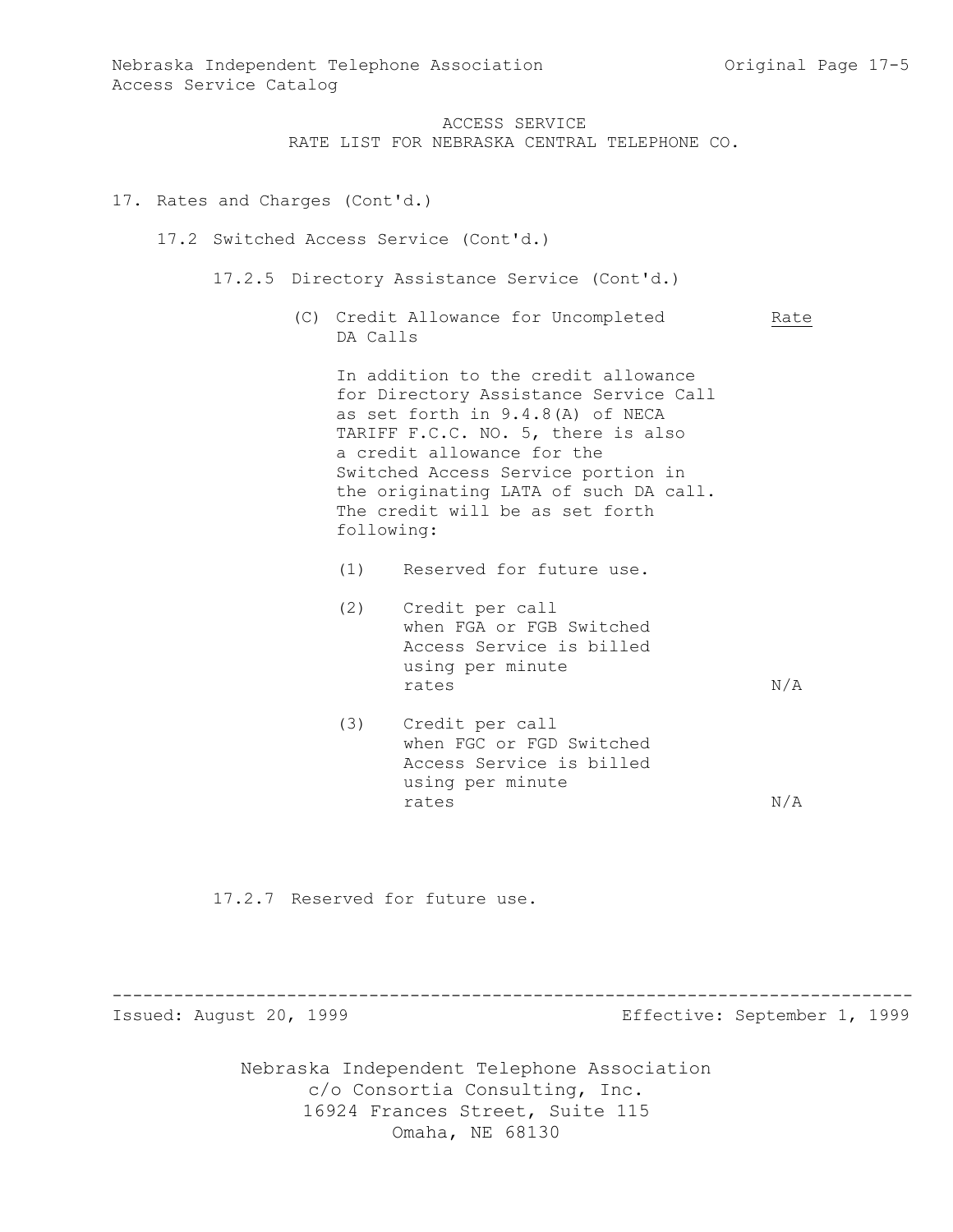RATE LIST FOR NEBRASKA CENTRAL TELEPHONE CO.

#### 17. Rates and Charges (Cont'd.)

17.2 Switched Access Service (Cont'd.)

- 17.2.5 Directory Assistance Service (Cont'd.)
	- (C) Credit Allowance for Uncompleted Rate DA Calls

In addition to the credit allowance for Directory Assistance Service Call as set forth in 9.4.8(A) of NECA TARIFF F.C.C. NO. 5, there is also a credit allowance for the Switched Access Service portion in the originating LATA of such DA call. The credit will be as set forth following:

- (1) Reserved for future use.
- (2) Credit per call when FGA or FGB Switched Access Service is billed using per minute rates  $N/A$
- (3) Credit per call when FGC or FGD Switched Access Service is billed using per minute rates  $N/A$

17.2.7 Reserved for future use.

------------------------------------------------------------------------------

Issued: August 20, 1999 Effective: September 1, 1999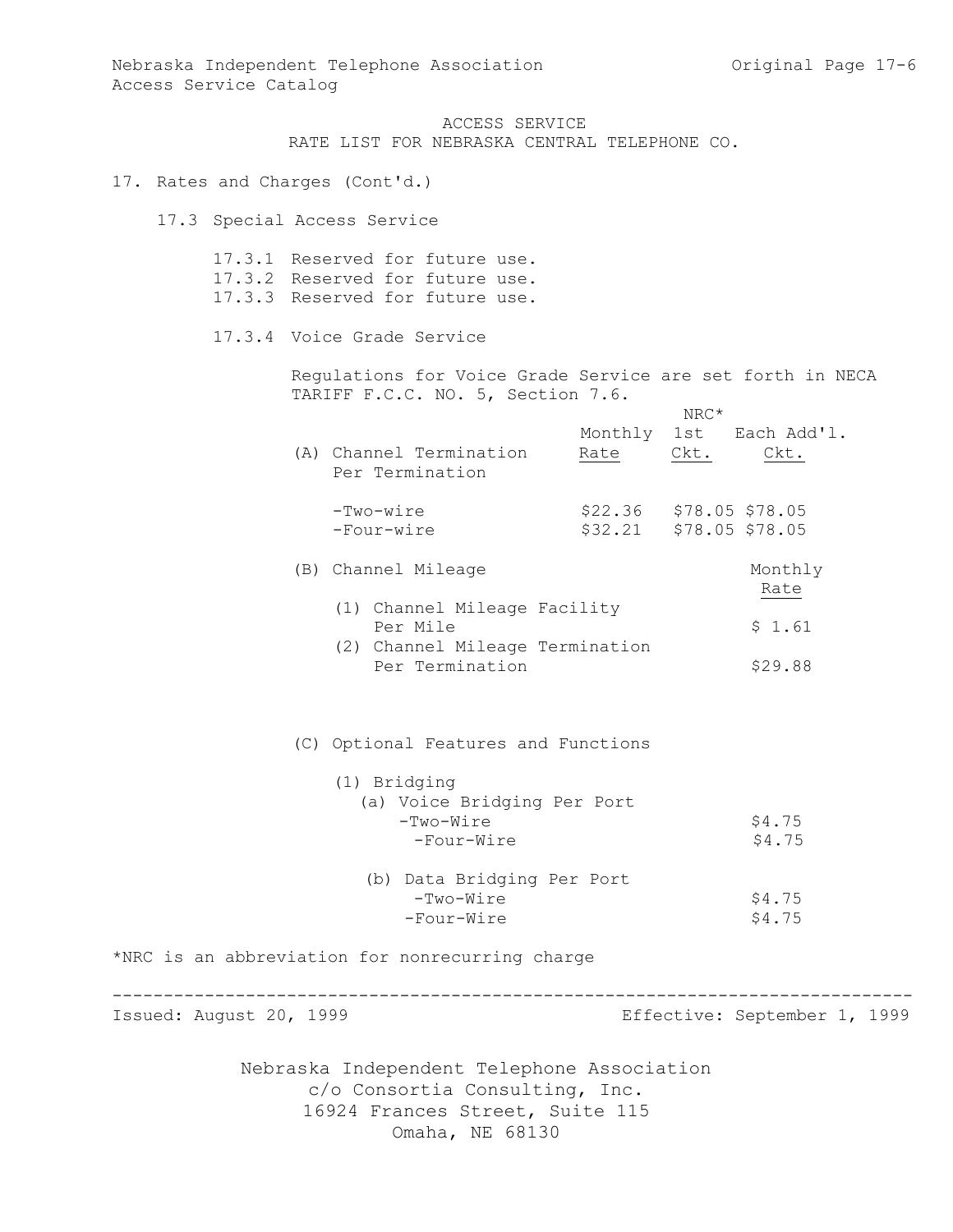RATE LIST FOR NEBRASKA CENTRAL TELEPHONE CO.

- 17. Rates and Charges (Cont'd.)
	- 17.3 Special Access Service

| 17.3.1 Reserved for future use. |  |  |
|---------------------------------|--|--|
| 17.3.2 Reserved for future use. |  |  |
| 17.3.3 Reserved for future use. |  |  |

17.3.4 Voice Grade Service

Regulations for Voice Grade Service are set forth in NECA TARIFF F.C.C. NO. 5, Section 7.6.

|                         |                                                                              |                         | NRC* |                              |
|-------------------------|------------------------------------------------------------------------------|-------------------------|------|------------------------------|
|                         | (A) Channel Termination<br>Per Termination                                   | Monthly 1st<br>Rate     | Ckt. | Each Add'l.<br>Ckt.          |
|                         | $-Two-wire$<br>-Four-wire                                                    | \$22.36 \$78.05 \$78.05 |      | \$32.21 \$78.05 \$78.05      |
|                         | (B) Channel Mileage<br>(1) Channel Mileage Facility<br>Per Mile              |                         |      | Monthly<br>Rate<br>\$1.61    |
|                         | (2) Channel Mileage Termination<br>Per Termination                           |                         |      | \$29.88                      |
|                         | (C) Optional Features and Functions                                          |                         |      |                              |
|                         | (1) Bridging<br>(a) Voice Bridging Per Port<br>-Two-Wire<br>-Four-Wire       |                         |      | \$4.75<br>\$4.75             |
|                         | (b) Data Bridging Per Port<br>$-Two-Wire$<br>-Four-Wire                      |                         |      | \$4.75<br>\$4.75             |
|                         | *NRC is an abbreviation for nonrecurring charge                              |                         |      |                              |
| Issued: August 20, 1999 |                                                                              |                         |      | Effective: September 1, 1999 |
|                         | Nebraska Independent Telephone Association<br>c/o Consortia Consulting, Inc. |                         |      |                              |

16924 Frances Street, Suite 115 Omaha, NE 68130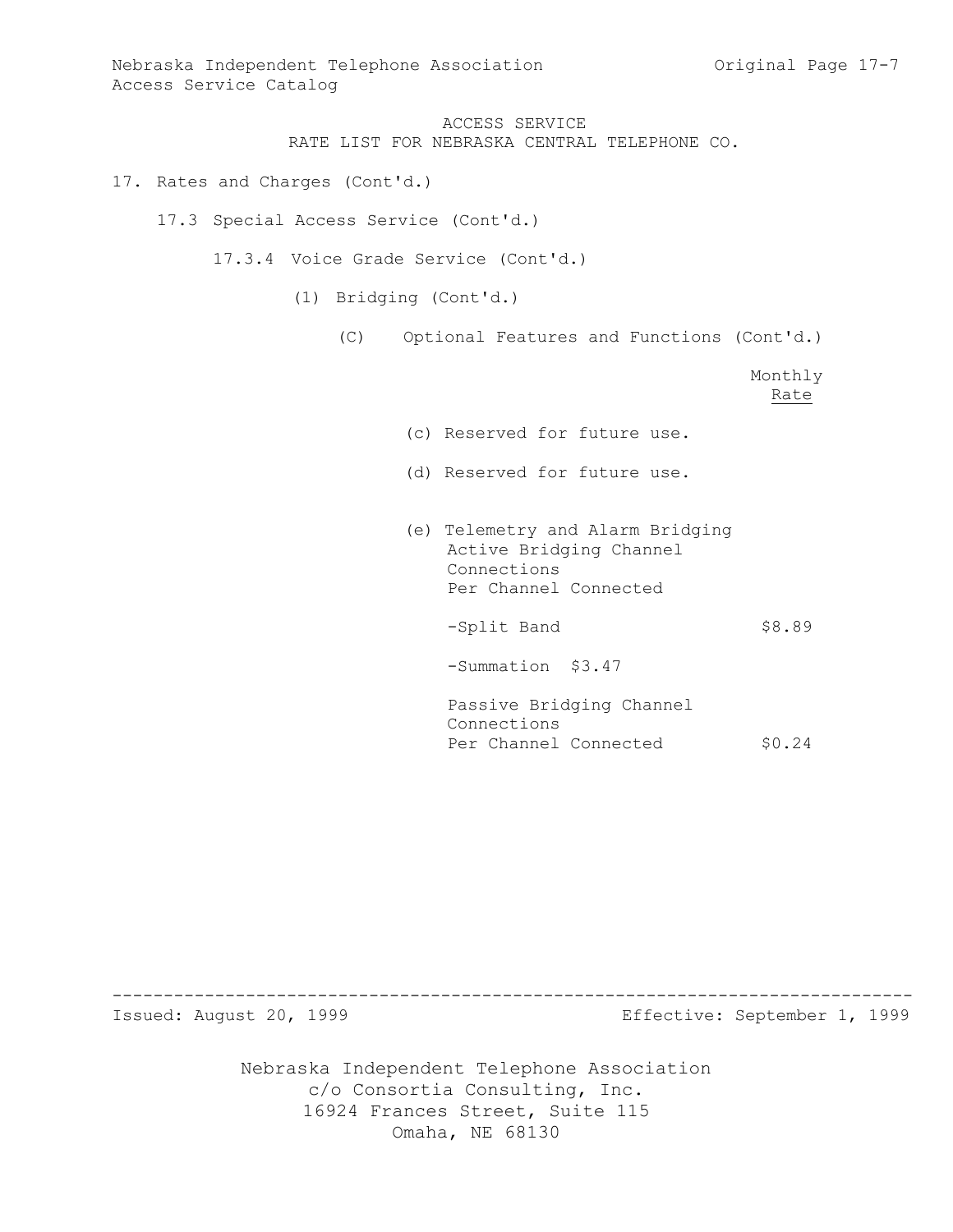Nebraska Independent Telephone Association and Chang Constant Page 17-7 Access Service Catalog

> ACCESS SERVICE RATE LIST FOR NEBRASKA CENTRAL TELEPHONE CO.

17. Rates and Charges (Cont'd.)

17.3 Special Access Service (Cont'd.)

17.3.4 Voice Grade Service (Cont'd.)

(1) Bridging (Cont'd.)

(C) Optional Features and Functions (Cont'd.)

Monthly Rate

- (c) Reserved for future use.
- (d) Reserved for future use.
- (e) Telemetry and Alarm Bridging Active Bridging Channel Connections Per Channel Connected

-Split Band \$8.89

-Summation \$3.47

Passive Bridging Channel Connections Per Channel Connected \$0.24

------------------------------------------------------------------------------

Issued: August 20, 1999 Effective: September 1, 1999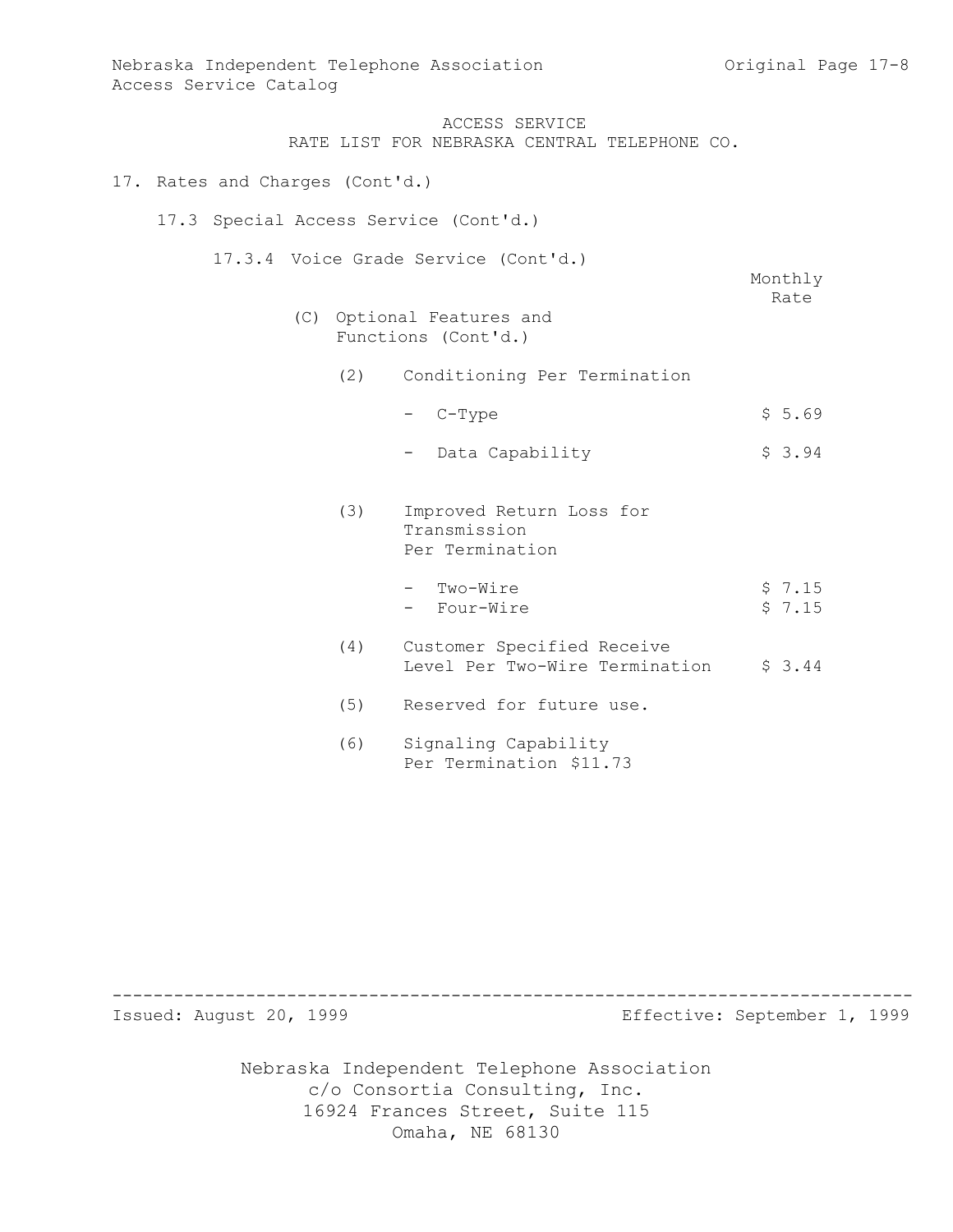RATE LIST FOR NEBRASKA CENTRAL TELEPHONE CO.

- 17. Rates and Charges (Cont'd.)
	- 17.3 Special Access Service (Cont'd.)
		- 17.3.4 Voice Grade Service (Cont'd.)

Monthly Rate

- (C) Optional Features and Functions (Cont'd.)
	- (2) Conditioning Per Termination
		- $-$  C-Type  $\frac{1}{5.69}$
		- Data Capability  $$3.94$
	- (3) Improved Return Loss for Transmission Per Termination
		- Two-Wire  $$ 7.15$ - Four-Wire  $\frac{1}{2}$  7.15
	- (4) Customer Specified Receive Level Per Two-Wire Termination  $\frac{1}{2}$  3.44
	- (5) Reserved for future use.
	- (6) Signaling Capability Per Termination \$11.73

------------------------------------------------------------------------------

Issued: August 20, 1999 Effective: September 1, 1999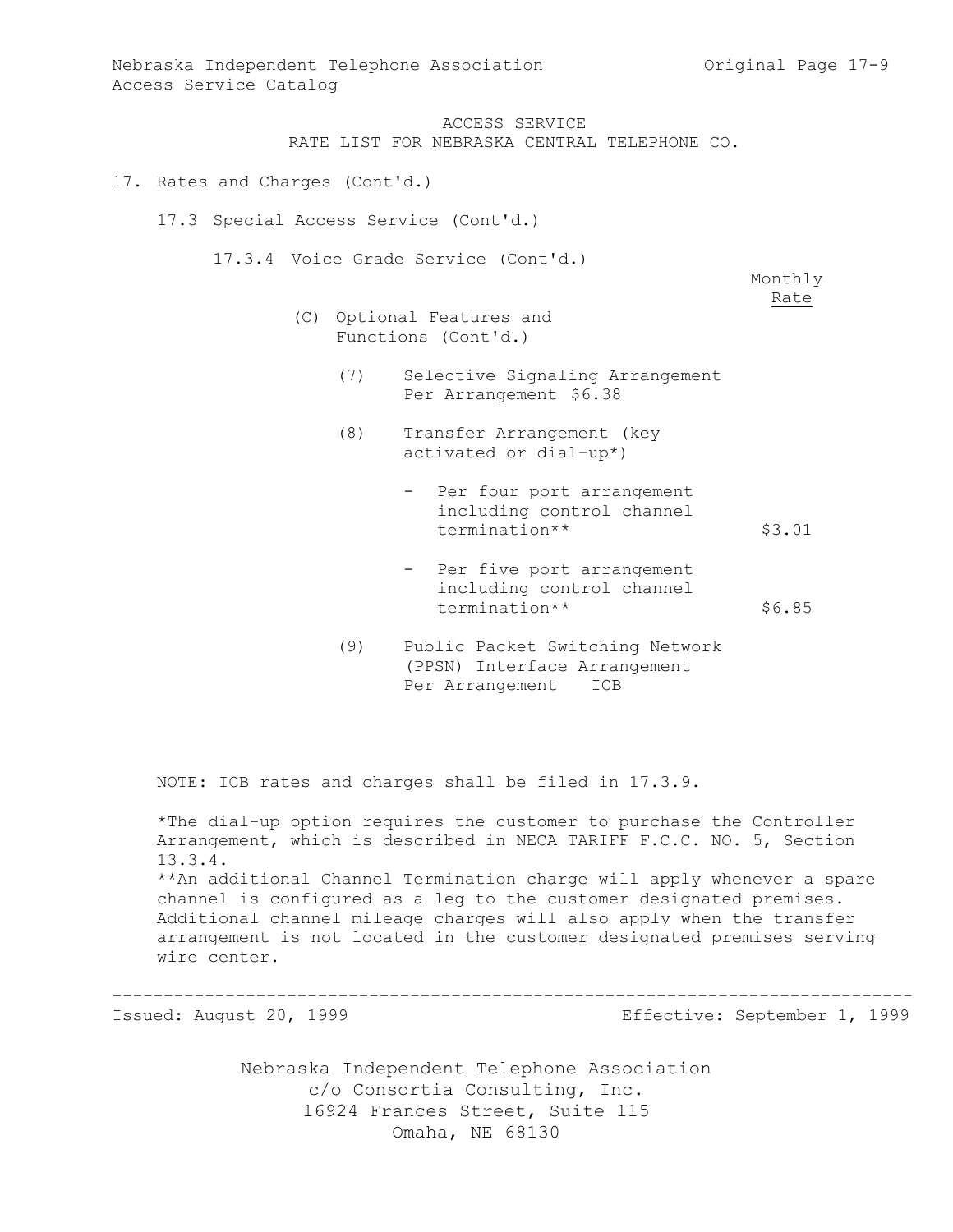ACCESS SERVICE RATE LIST FOR NEBRASKA CENTRAL TELEPHONE CO.

- 17. Rates and Charges (Cont'd.)
	- 17.3 Special Access Service (Cont'd.)

17.3.4 Voice Grade Service (Cont'd.)

Monthly Rate

- (C) Optional Features and Functions (Cont'd.)
	- (7) Selective Signaling Arrangement Per Arrangement \$6.38
	- (8) Transfer Arrangement (key activated or dial-up\*)
		- Per four port arrangement including control channel termination\*\* \$3.01
		- Per five port arrangement including control channel termination\*\* \$6.85
	- (9) Public Packet Switching Network (PPSN) Interface Arrangement Per Arrangement ICB

NOTE: ICB rates and charges shall be filed in 17.3.9.

\*The dial-up option requires the customer to purchase the Controller Arrangement, which is described in NECA TARIFF F.C.C. NO. 5, Section 13.3.4. \*\*An additional Channel Termination charge will apply whenever a spare channel is configured as a leg to the customer designated premises. Additional channel mileage charges will also apply when the transfer arrangement is not located in the customer designated premises serving wire center.

------------------------------------------------------------------------------

Issued: August 20, 1999 Effective: September 1, 1999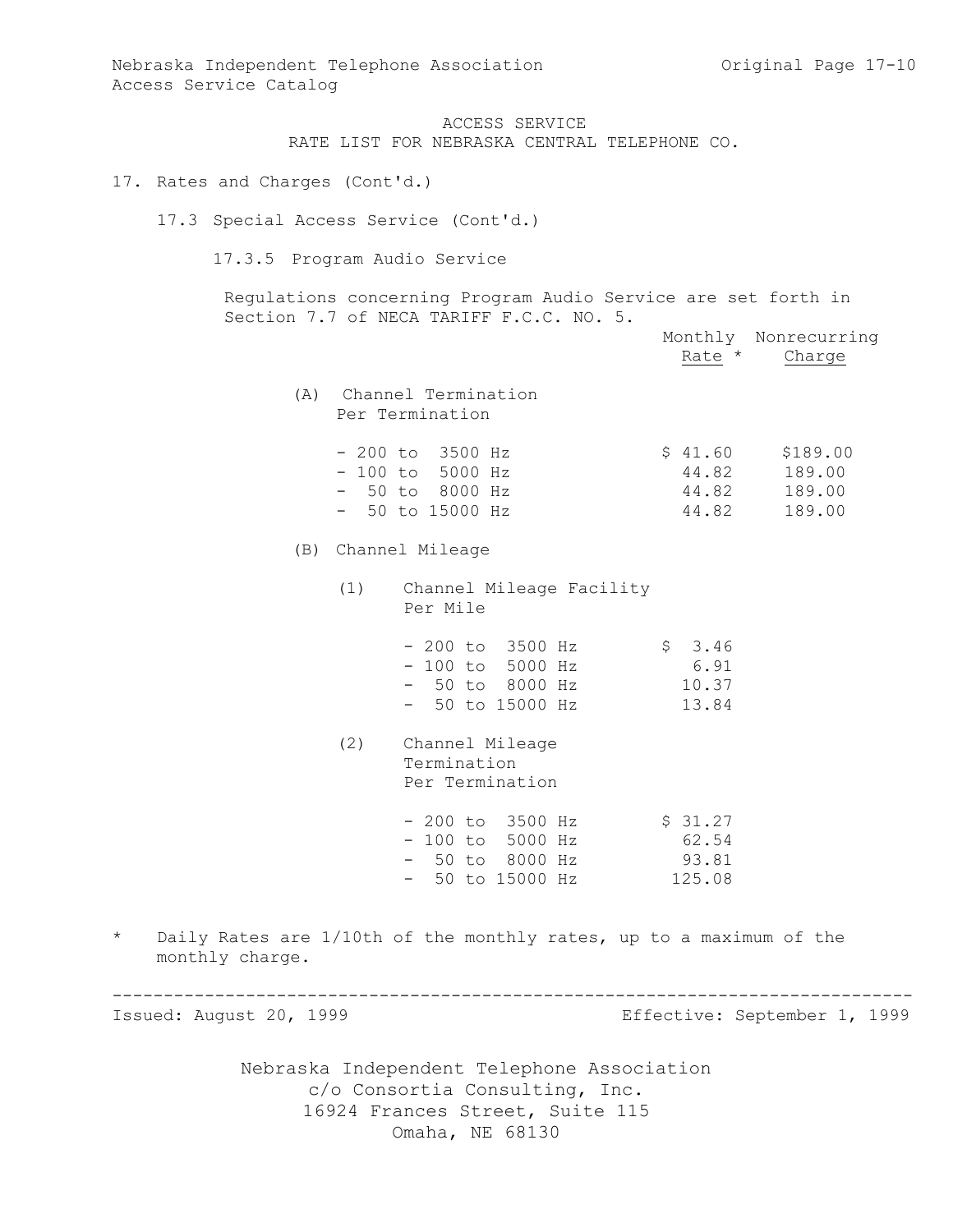ACCESS SERVICE RATE LIST FOR NEBRASKA CENTRAL TELEPHONE CO.

17. Rates and Charges (Cont'd.)

17.3 Special Access Service (Cont'd.)

17.3.5 Program Audio Service

Regulations concerning Program Audio Service are set forth in Section 7.7 of NECA TARIFF F.C.C. NO. 5.

|                            |     |                                                                                                      | Monthly Nonrecurring<br>Rate * Charge                              |                              |
|----------------------------|-----|------------------------------------------------------------------------------------------------------|--------------------------------------------------------------------|------------------------------|
|                            |     | (A) Channel Termination<br>Per Termination                                                           |                                                                    |                              |
|                            |     | - 200 to 3500 Hz<br>$-100$ to 5000 Hz<br>- 50 to 8000 Hz<br>$-50$ to 15000 Hz                        | $$41.60$ $$189.00$<br>44.82 189.00<br>44.82 189.00<br>44.82 189.00 |                              |
|                            |     | (B) Channel Mileage                                                                                  |                                                                    |                              |
|                            | (1) | Channel Mileage Facility<br>Per Mile                                                                 |                                                                    |                              |
|                            |     | - 200 to 3500 Hz \$ 3.46<br>- 100 to 5000 Hz 6.91<br>- 50 to 8000 Hz 10.37<br>- 50 to 15000 Hz 13.84 |                                                                    |                              |
|                            | (2) | Channel Mileage<br>Termination<br>Per Termination                                                    |                                                                    |                              |
|                            |     | - 200 to 3500 Hz<br>- 100 to 5000 Hz<br>- 50 to 8000 Hz<br>- 50 to 15000 Hz<br>125.08                |                                                                    |                              |
| $\star$<br>monthly charge. |     | Daily Rates are 1/10th of the monthly rates, up to a maximum of the                                  |                                                                    |                              |
| Issued: August 20, 1999    |     |                                                                                                      |                                                                    | Effective: September 1, 1999 |
|                            |     | Nebraska Independent Telephone Association                                                           |                                                                    |                              |

c/o Consortia Consulting, Inc. 16924 Frances Street, Suite 115 Omaha, NE 68130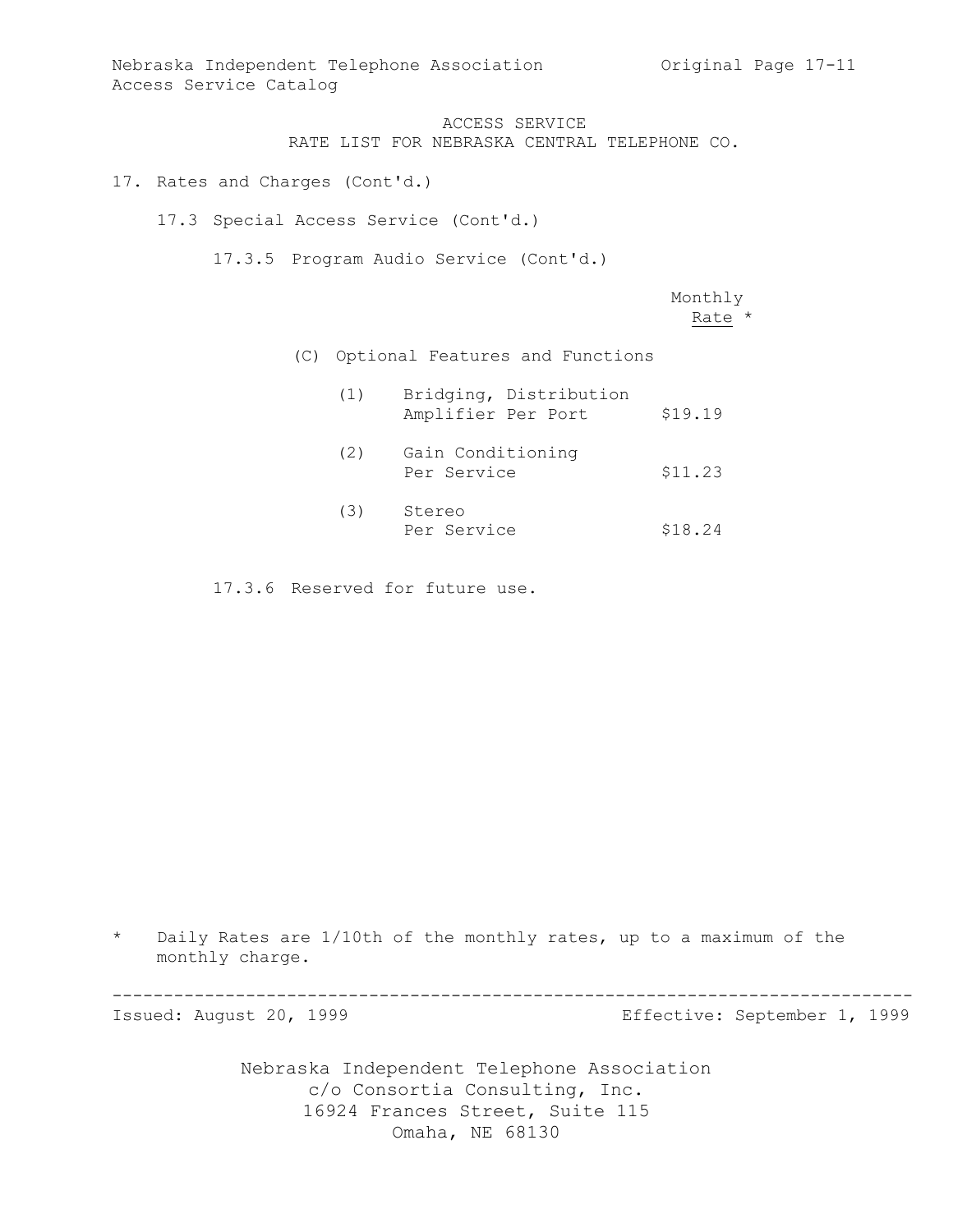Nebraska Independent Telephone Association Original Page 17-11 Access Service Catalog

ACCESS SERVICE

RATE LIST FOR NEBRASKA CENTRAL TELEPHONE CO.

17. Rates and Charges (Cont'd.)

17.3 Special Access Service (Cont'd.)

17.3.5 Program Audio Service (Cont'd.)

Monthly Rate \*

(C) Optional Features and Functions

| (1) | Bridging, Distribution<br>Amplifier Per Port | \$19.19 |
|-----|----------------------------------------------|---------|
| (2) | Gain Conditioning<br>Per Service             | \$11.23 |
| (3) | Stereo<br>Per Service                        | \$18.24 |

17.3.6 Reserved for future use.

\* Daily Rates are 1/10th of the monthly rates, up to a maximum of the monthly charge.

------------------------------------------------------------------------------

Issued: August 20, 1999 Effective: September 1, 1999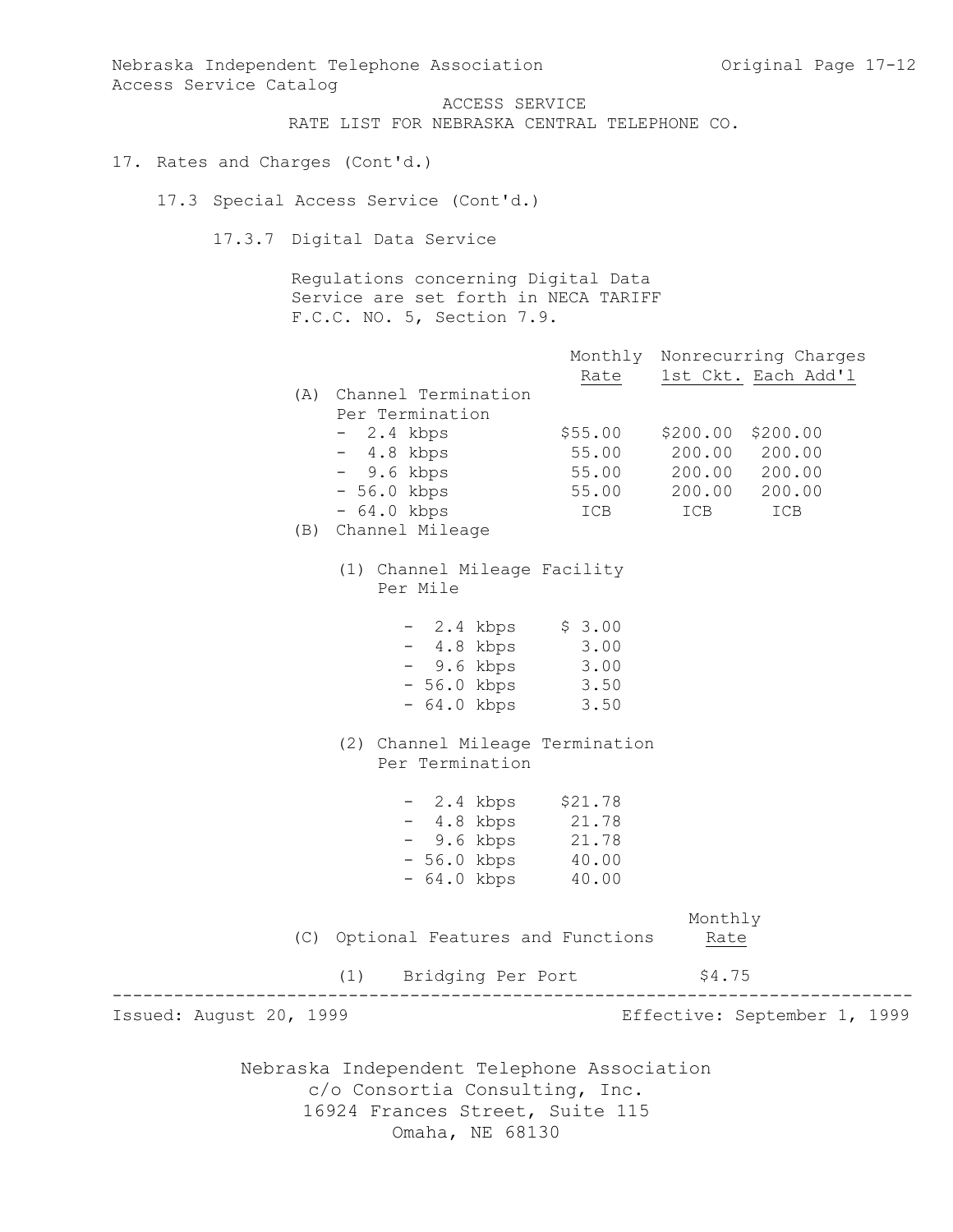Nebraska Independent Telephone Association c/o Consortia Consulting, Inc. 16924 Frances Street, Suite 115 Omaha, NE 68130 Nebraska Independent Telephone Association and Original Page 17-12 Access Service Catalog ACCESS SERVICE RATE LIST FOR NEBRASKA CENTRAL TELEPHONE CO. 17. Rates and Charges (Cont'd.) 17.3 Special Access Service (Cont'd.) 17.3.7 Digital Data Service Regulations concerning Digital Data Service are set forth in NECA TARIFF F.C.C. NO. 5, Section 7.9. Monthly Nonrecurring Charges Rate 1st Ckt. Each Add'l (A) Channel Termination Per Termination - 2.4 kbps \$55.00 \$200.00 \$200.00 - 4.8 kbps 55.00 200.00 200.00 - 9.6 kbps 55.00 200.00 200.00 - 56.0 kbps 55.00 200.00 200.00 - 64.0 kbps ICB ICB ICB (B) Channel Mileage (1) Channel Mileage Facility Per Mile - 2.4 kbps \$ 3.00 - 4.8 kbps 3.00 - 9.6 kbps 3.00 - 56.0 kbps 3.50 - 64.0 kbps 3.50 (2) Channel Mileage Termination Per Termination - 2.4 kbps \$21.78 - 4.8 kbps 21.78 - 9.6 kbps 21.78 - 56.0 kbps 40.00 - 64.0 kbps 40.00 Monthly (C) Optional Features and Functions Rate (1) Bridging Per Port \$4.75 ------------------------------------------------------------------------------ Issued: August 20, 1999 Effective: September 1, 1999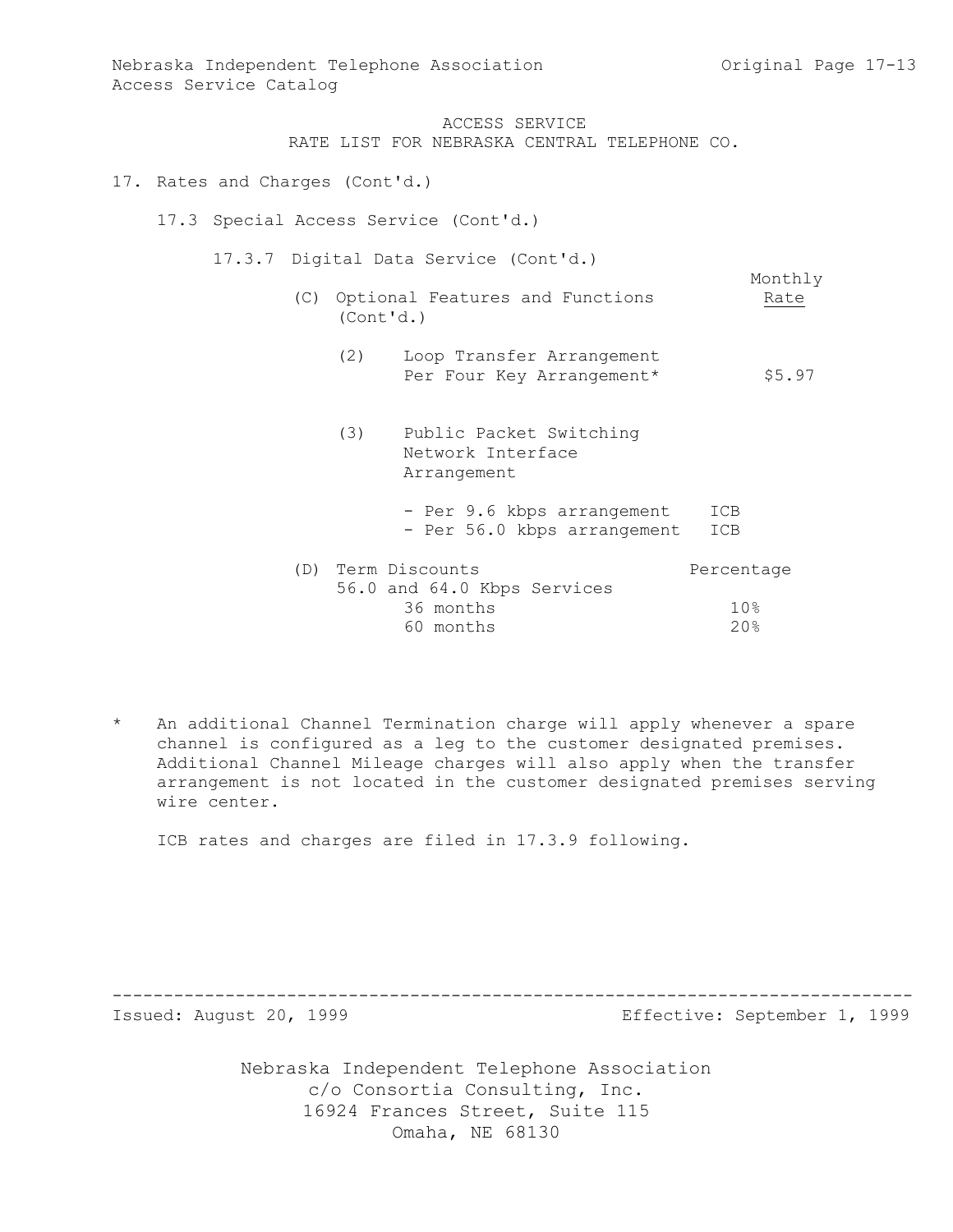Monthly

Nebraska Independent Telephone Association and Criginal Page 17-13 Access Service Catalog

ACCESS SERVICE

RATE LIST FOR NEBRASKA CENTRAL TELEPHONE CO.

- 17. Rates and Charges (Cont'd.)
	- 17.3 Special Access Service (Cont'd.)

17.3.7 Digital Data Service (Cont'd.)

- (C) Optional Features and Functions Rate (Cont'd.)
	- (2) Loop Transfer Arrangement Per Four Key Arrangement\* \$5.97
- (3) Public Packet Switching Network Interface Arrangement - Per 9.6 kbps arrangement ICB - Per 56.0 kbps arrangement ICB (D) Term Discounts Percentage 56.0 and 64.0 Kbps Services 36 months 10% 60 months 20%
- An additional Channel Termination charge will apply whenever a spare channel is configured as a leg to the customer designated premises. Additional Channel Mileage charges will also apply when the transfer arrangement is not located in the customer designated premises serving wire center.

ICB rates and charges are filed in 17.3.9 following.

------------------------------------------------------------------------------

Issued: August 20, 1999 Effective: September 1, 1999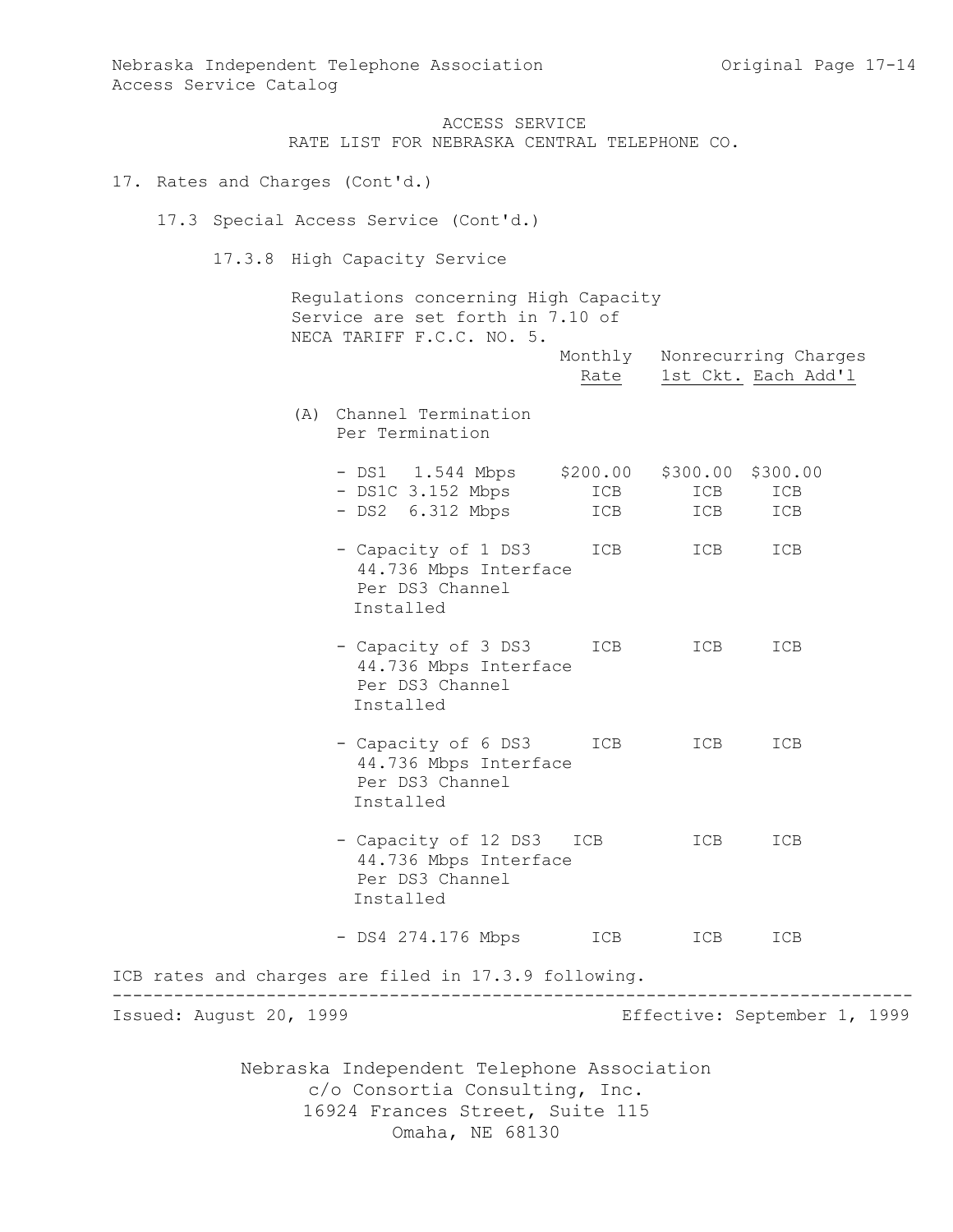Monthly Nonrecurring Charges Rate 1st Ckt. Each Add'l

ACCESS SERVICE RATE LIST FOR NEBRASKA CENTRAL TELEPHONE CO.

# 17. Rates and Charges (Cont'd.)

17.3 Special Access Service (Cont'd.)

17.3.8 High Capacity Service

Regulations concerning High Capacity Service are set forth in 7.10 of NECA TARIFF F.C.C. NO. 5.

(A) Channel Termination Per Termination

|  | $-$ DS1 $-$ 1.544 Mbps | \$200.00 \$300.00 \$300.00 |     |     |  |
|--|------------------------|----------------------------|-----|-----|--|
|  | $-$ DS1C 3.152 Mbps    | ICB                        | ICB | ICB |  |
|  | $-$ DS2 $6.312$ Mbps   | ICB                        | ICB | ICB |  |
|  | - Capacity of 1 DS3    | ICB                        | ICB | ICB |  |

- 44.736 Mbps Interface Per DS3 Channel Installed
- Capacity of 3 DS3 ICB ICB ICB 44.736 Mbps Interface Per DS3 Channel Installed
- Capacity of 6 DS3 ICB ICB ICB 44.736 Mbps Interface Per DS3 Channel Installed
- Capacity of 12 DS3 ICB ICB ICB 44.736 Mbps Interface Per DS3 Channel Installed
- DS4 274.176 Mbps ICB ICB ICB

ICB rates and charges are filed in 17.3.9 following. ------------------------------------------------------------------------------ Issued: August 20, 1999 Effective: September 1, 1999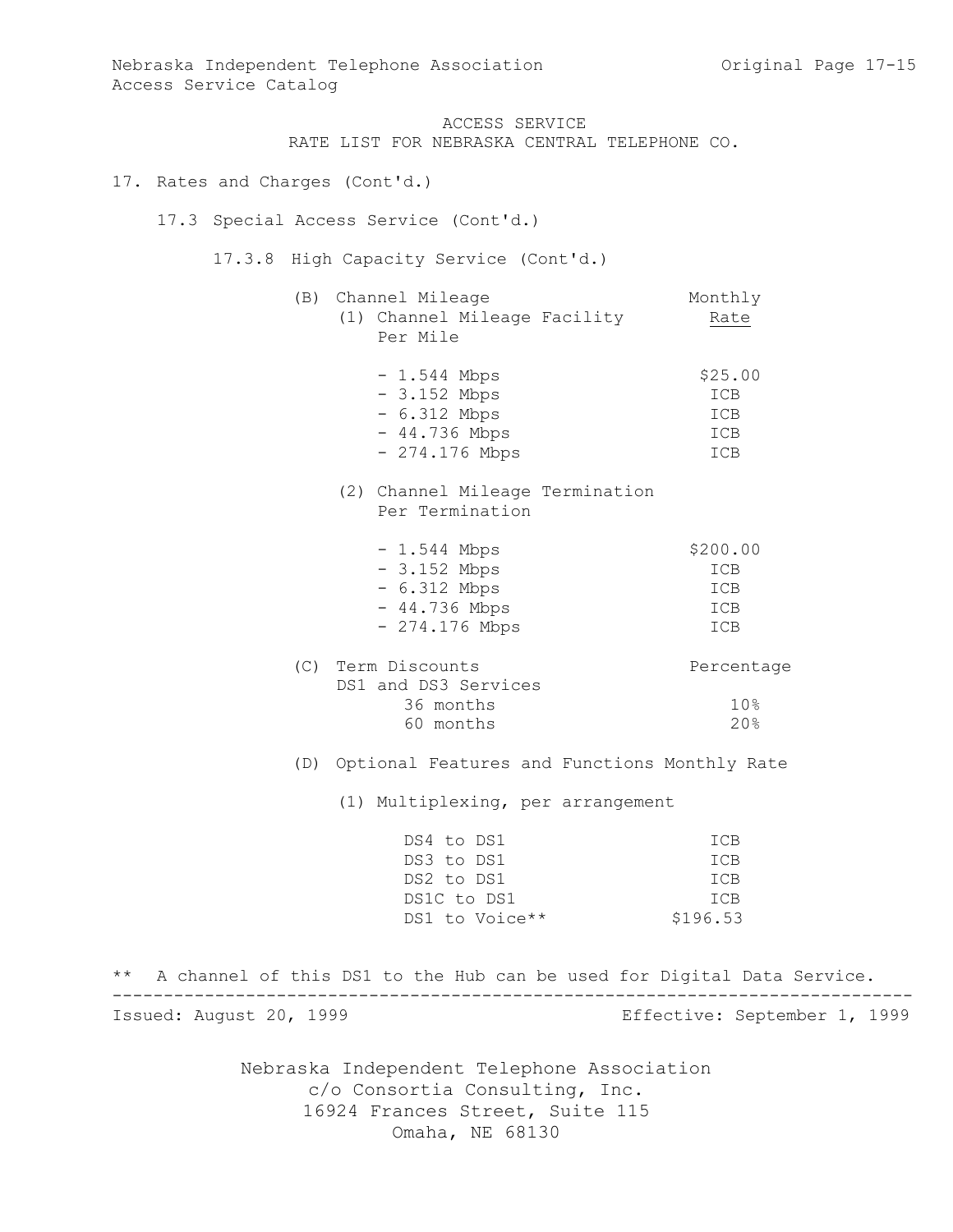RATE LIST FOR NEBRASKA CENTRAL TELEPHONE CO.

```
17. Rates and Charges (Cont'd.)
```
17.3 Special Access Service (Cont'd.)

17.3.8 High Capacity Service (Cont'd.)

| (B) Channel Mileage          | Monthly    |
|------------------------------|------------|
| (1) Channel Mileage Facility | Rate       |
| Per Mile                     |            |
| $-1.544$ Mbps                | \$25.00    |
| $-3.152$ Mbps                | <b>TCB</b> |

| $-6.312$ Mbps  | ICB |
|----------------|-----|
| $-44.736$ Mbps | ICB |
| - 274.176 Mbps | ICB |

(2) Channel Mileage Termination Per Termination

| $-1.544$ Mbps   | \$200.00   |
|-----------------|------------|
| $-3.152$ Mbps   | ICB        |
| $-6.312$ Mbps   | ICB        |
| $-44.736$ Mbps  | ICB        |
| $-274.176$ Mbps | <b>TCB</b> |
|                 |            |

| Percentage      |
|-----------------|
|                 |
| 10 <sup>g</sup> |
| 20.8            |
|                 |

(D) Optional Features and Functions Monthly Rate

(1) Multiplexing, per arrangement

| DS4 to DS1     | ICB      |
|----------------|----------|
| DS3 to DS1     | ICB      |
| DS2 to DS1     | TCB      |
| DS1C to DS1    | TCB      |
| DS1 to Voice** | \$196.53 |

\*\* A channel of this DS1 to the Hub can be used for Digital Data Service. ------------------------------------------------------------------------------ Issued: August 20, 1999 Effective: September 1, 1999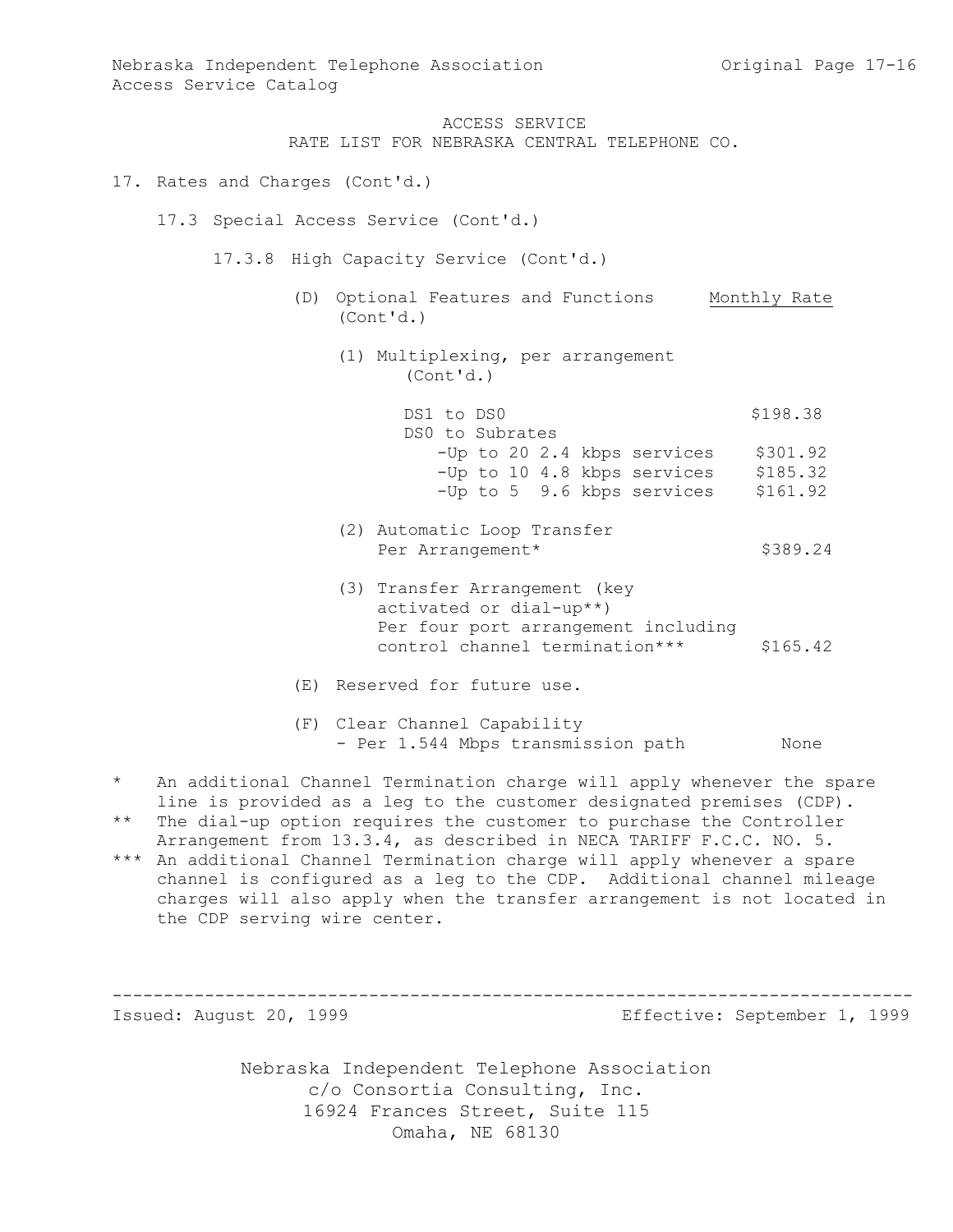RATE LIST FOR NEBRASKA CENTRAL TELEPHONE CO.

- 17. Rates and Charges (Cont'd.)
	- 17.3 Special Access Service (Cont'd.)

17.3.8 High Capacity Service (Cont'd.)

- (D) Optional Features and Functions Monthly Rate (Cont'd.)
	- (1) Multiplexing, per arrangement (Cont'd.)

| DS1 to DS0      |  |                             | \$198.38 |
|-----------------|--|-----------------------------|----------|
| DS0 to Subrates |  |                             |          |
|                 |  | -Up to 20 2.4 kbps services | \$301.92 |
|                 |  | -Up to 10 4.8 kbps services | \$185.32 |
|                 |  | -Up to 5 9.6 kbps services  | \$161.92 |

- (2) Automatic Loop Transfer Per Arrangement\* \$389.24
- (3) Transfer Arrangement (key activated or dial-up\*\*) Per four port arrangement including control channel termination\*\*\* \$165.42
- (E) Reserved for future use.
- (F) Clear Channel Capability - Per 1.544 Mbps transmission path Mone
- \* An additional Channel Termination charge will apply whenever the spare line is provided as a leg to the customer designated premises (CDP).
- \*\* The dial-up option requires the customer to purchase the Controller Arrangement from 13.3.4, as described in NECA TARIFF F.C.C. NO. 5.
- \*\*\* An additional Channel Termination charge will apply whenever a spare channel is configured as a leg to the CDP. Additional channel mileage charges will also apply when the transfer arrangement is not located in the CDP serving wire center.

------------------------------------------------------------------------------

Issued: August 20, 1999 Effective: September 1, 1999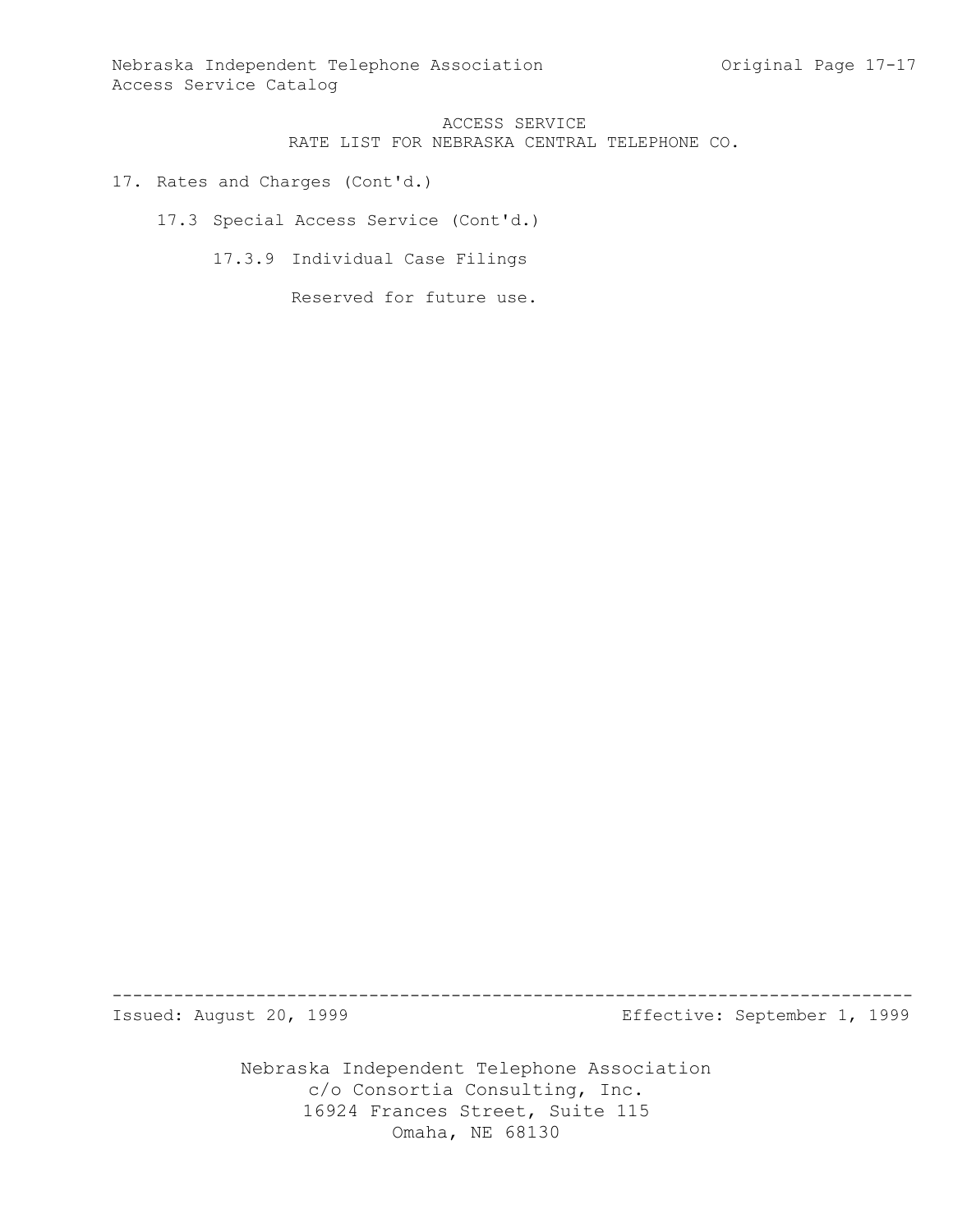Nebraska Independent Telephone Association and Criginal Page 17-17 Access Service Catalog

> ACCESS SERVICE RATE LIST FOR NEBRASKA CENTRAL TELEPHONE CO.

17. Rates and Charges (Cont'd.)

17.3 Special Access Service (Cont'd.)

17.3.9 Individual Case Filings

Reserved for future use.

------------------------------------------------------------------------------

Issued: August 20, 1999 Effective: September 1, 1999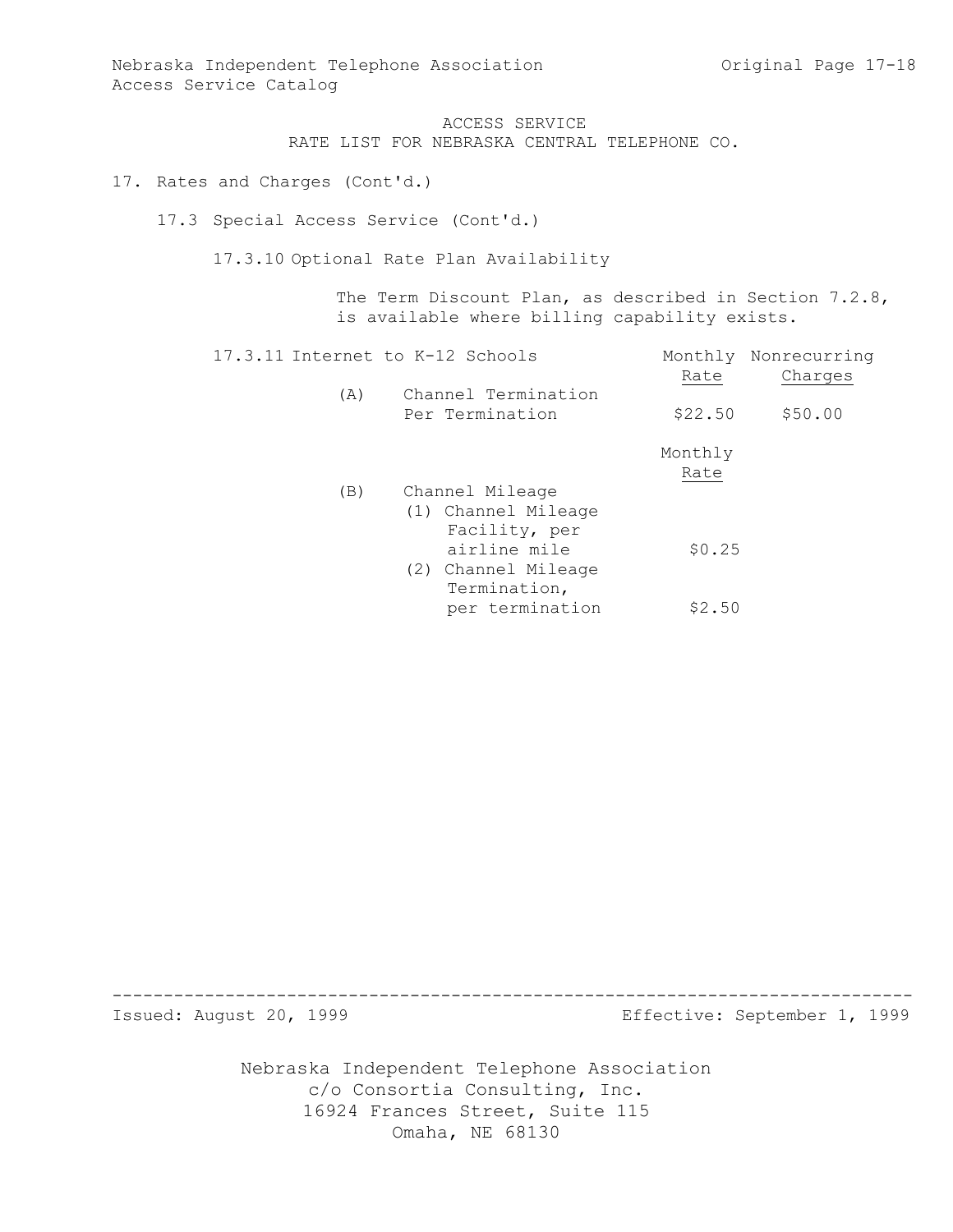Nebraska Independent Telephone Association and Criginal Page 17-18 Access Service Catalog

> ACCESS SERVICE RATE LIST FOR NEBRASKA CENTRAL TELEPHONE CO.

17. Rates and Charges (Cont'd.)

17.3 Special Access Service (Cont'd.)

17.3.10 Optional Rate Plan Availability

The Term Discount Plan, as described in Section 7.2.8, is available where billing capability exists.

| 17.3.11 Internet to K-12 Schools |                                                         |                 | Monthly Nonrecurring |
|----------------------------------|---------------------------------------------------------|-----------------|----------------------|
| (A)                              | Channel Termination<br>Per Termination                  | Rate<br>\$22.50 | Charges<br>\$50.00   |
|                                  |                                                         | Monthly<br>Rate |                      |
| (B)                              | Channel Mileage<br>(1) Channel Mileage<br>Facility, per |                 |                      |
|                                  | airline mile<br>(2) Channel Mileage<br>Termination,     | \$0.25          |                      |
|                                  | per termination                                         | \$2.50          |                      |

------------------------------------------------------------------------------

Issued: August 20, 1999 Effective: September 1, 1999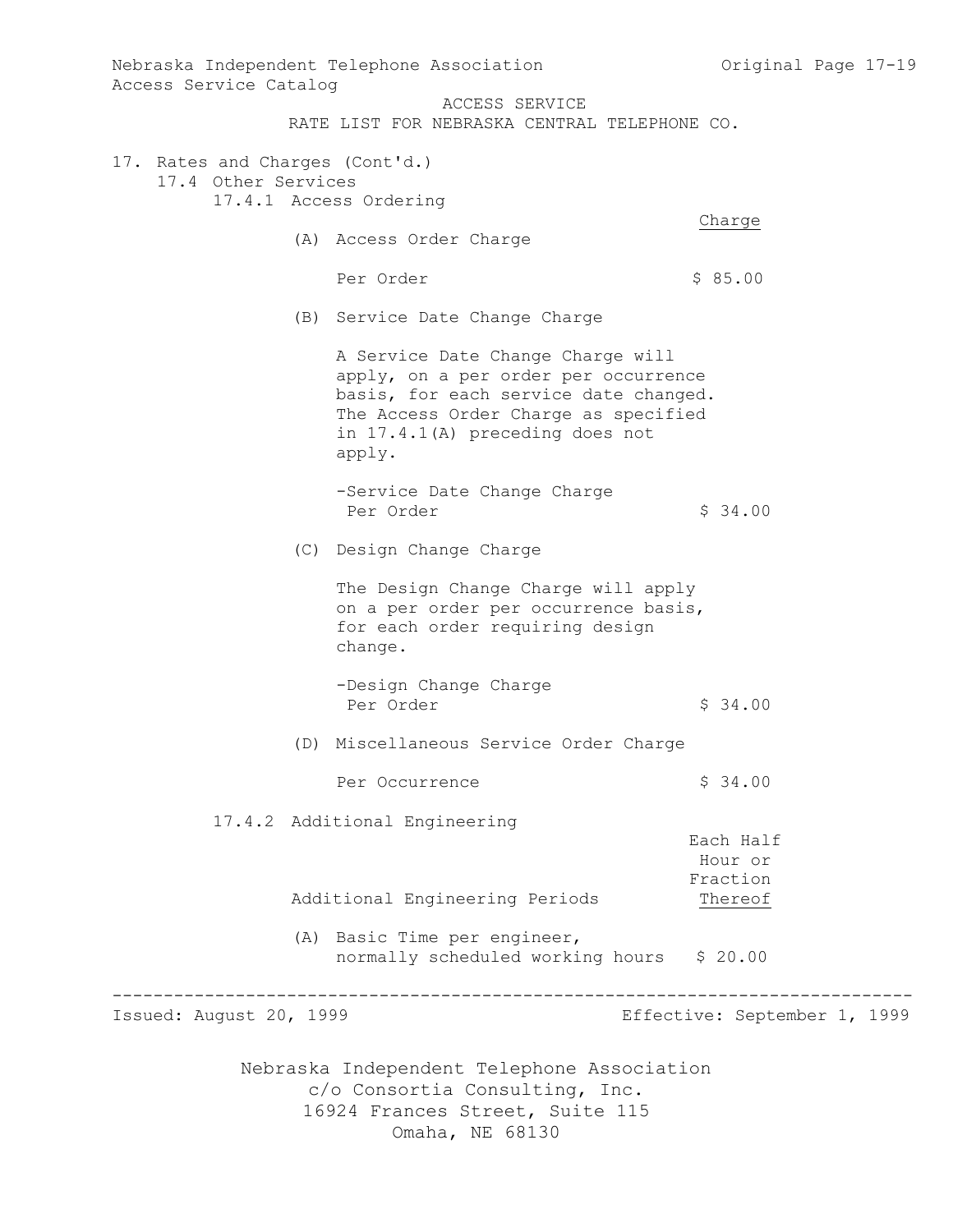Nebraska Independent Telephone Association c/o Consortia Consulting, Inc. 16924 Frances Street, Suite 115 Omaha, NE 68130 Nebraska Independent Telephone Association and Original Page 17-19 Access Service Catalog ACCESS SERVICE RATE LIST FOR NEBRASKA CENTRAL TELEPHONE CO. 17. Rates and Charges (Cont'd.) 17.4 Other Services 17.4.1 Access Ordering Charge (A) Access Order Charge Per Order  $\sim$  \$ 85.00 (B) Service Date Change Charge A Service Date Change Charge will apply, on a per order per occurrence basis, for each service date changed. The Access Order Charge as specified in 17.4.1(A) preceding does not apply. -Service Date Change Charge Per Order  $\frac{1}{2}$  34.00 (C) Design Change Charge The Design Change Charge will apply on a per order per occurrence basis, for each order requiring design change. -Design Change Charge Per Order  $\frac{1}{2}$  34.00 (D) Miscellaneous Service Order Charge Per Occurrence  $\frac{1}{2}$  \$ 34.00 17.4.2 Additional Engineering Each Half Hour or Fraction Additional Engineering Periods Thereof (A) Basic Time per engineer, normally scheduled working hours \$ 20.00 ------------------------------------------------------------------------------ Issued: August 20, 1999 Effective: September 1, 1999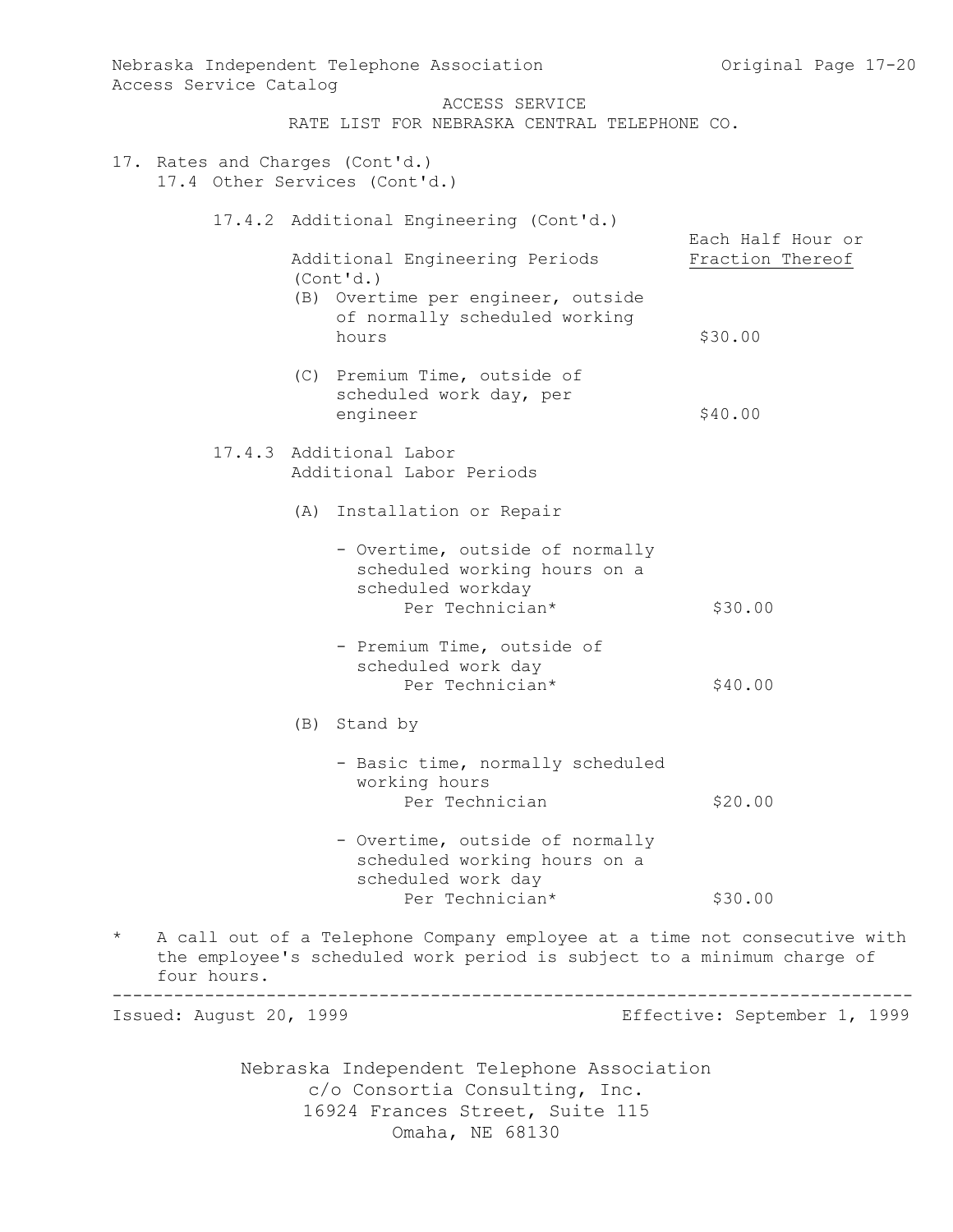| Access Service Catalog                                                       | Nebraska Independent Telephone Association                                                                                                          | Original Page 17-20          |  |  |
|------------------------------------------------------------------------------|-----------------------------------------------------------------------------------------------------------------------------------------------------|------------------------------|--|--|
|                                                                              | ACCESS SERVICE<br>RATE LIST FOR NEBRASKA CENTRAL TELEPHONE CO.                                                                                      |                              |  |  |
|                                                                              |                                                                                                                                                     |                              |  |  |
| 17. Rates and Charges (Cont'd.)                                              | 17.4 Other Services (Cont'd.)                                                                                                                       |                              |  |  |
|                                                                              | 17.4.2 Additional Engineering (Cont'd.)                                                                                                             | Each Half Hour or            |  |  |
|                                                                              | Additional Engineering Periods<br>(Cont'd.)                                                                                                         | Fraction Thereof             |  |  |
|                                                                              | (B) Overtime per engineer, outside<br>of normally scheduled working<br>hours                                                                        | \$30.00                      |  |  |
|                                                                              | (C) Premium Time, outside of<br>scheduled work day, per                                                                                             |                              |  |  |
|                                                                              | engineer                                                                                                                                            | \$40.00                      |  |  |
|                                                                              | 17.4.3 Additional Labor<br>Additional Labor Periods                                                                                                 |                              |  |  |
|                                                                              | (A) Installation or Repair                                                                                                                          |                              |  |  |
|                                                                              | - Overtime, outside of normally<br>scheduled working hours on a<br>scheduled workday                                                                |                              |  |  |
|                                                                              | Per Technician*                                                                                                                                     | \$30.00                      |  |  |
|                                                                              | - Premium Time, outside of<br>scheduled work day<br>Per Technician*                                                                                 | \$40.00                      |  |  |
|                                                                              | (B) Stand by                                                                                                                                        |                              |  |  |
|                                                                              | - Basic time, normally scheduled<br>working hours                                                                                                   |                              |  |  |
|                                                                              | Per Technician                                                                                                                                      | \$20.00                      |  |  |
|                                                                              | - Overtime, outside of normally<br>scheduled working hours on a<br>scheduled work day                                                               |                              |  |  |
|                                                                              | Per Technician*                                                                                                                                     | \$30.00                      |  |  |
| $\star$<br>four hours.                                                       | A call out of a Telephone Company employee at a time not consecutive with<br>the employee's scheduled work period is subject to a minimum charge of |                              |  |  |
| Issued: August 20, 1999                                                      |                                                                                                                                                     | Effective: September 1, 1999 |  |  |
| Nebraska Independent Telephone Association<br>c/o Consortia Consulting, Inc. |                                                                                                                                                     |                              |  |  |
|                                                                              | 16924 Frances Street, Suite 115<br>Omaha, NE 68130                                                                                                  |                              |  |  |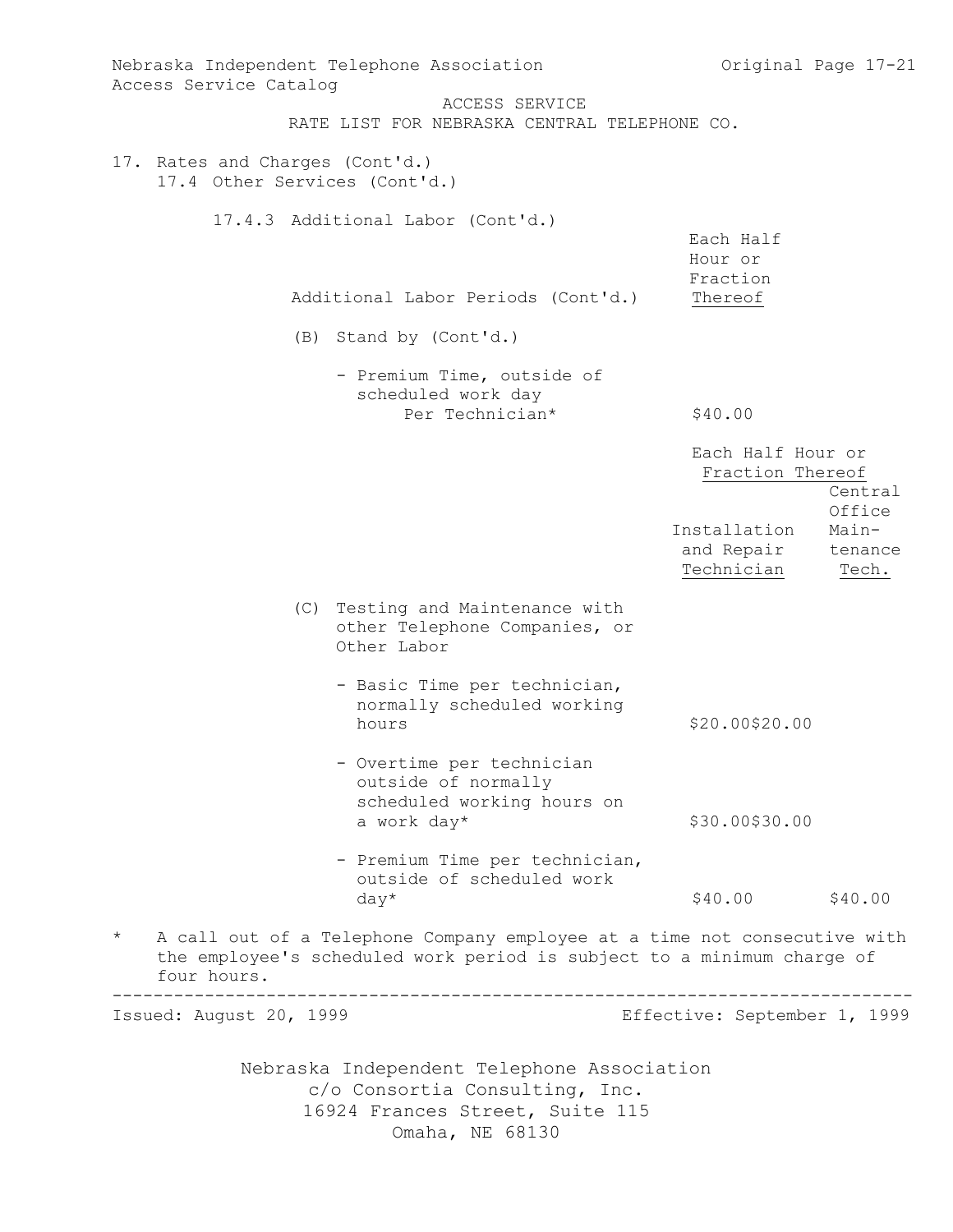Nebraska Independent Telephone Association c/o Consortia Consulting, Inc. 16924 Frances Street, Suite 115 Omaha, NE 68130 Nebraska Independent Telephone Association and Original Page 17-21 Access Service Catalog ACCESS SERVICE RATE LIST FOR NEBRASKA CENTRAL TELEPHONE CO. 17. Rates and Charges (Cont'd.) 17.4 Other Services (Cont'd.) 17.4.3 Additional Labor (Cont'd.) Each Half Hour or Fraction Additional Labor Periods (Cont'd.) Thereof (B) Stand by (Cont'd.) - Premium Time, outside of scheduled work day Per Technician\* \$40.00 Each Half Hour or Fraction Thereof Central Office Installation Main and Repair tenance Technician Tech. (C) Testing and Maintenance with other Telephone Companies, or Other Labor - Basic Time per technician, normally scheduled working hours \$20.00\$20.00 - Overtime per technician outside of normally scheduled working hours on a work day\* \$30.00\$30.00 - Premium Time per technician, outside of scheduled work  $day^*$  \$40.00 \$40.00 A call out of a Telephone Company employee at a time not consecutive with the employee's scheduled work period is subject to a minimum charge of four hours. ------------------------------------------------------------------------------ Issued: August 20, 1999 Effective: September 1, 1999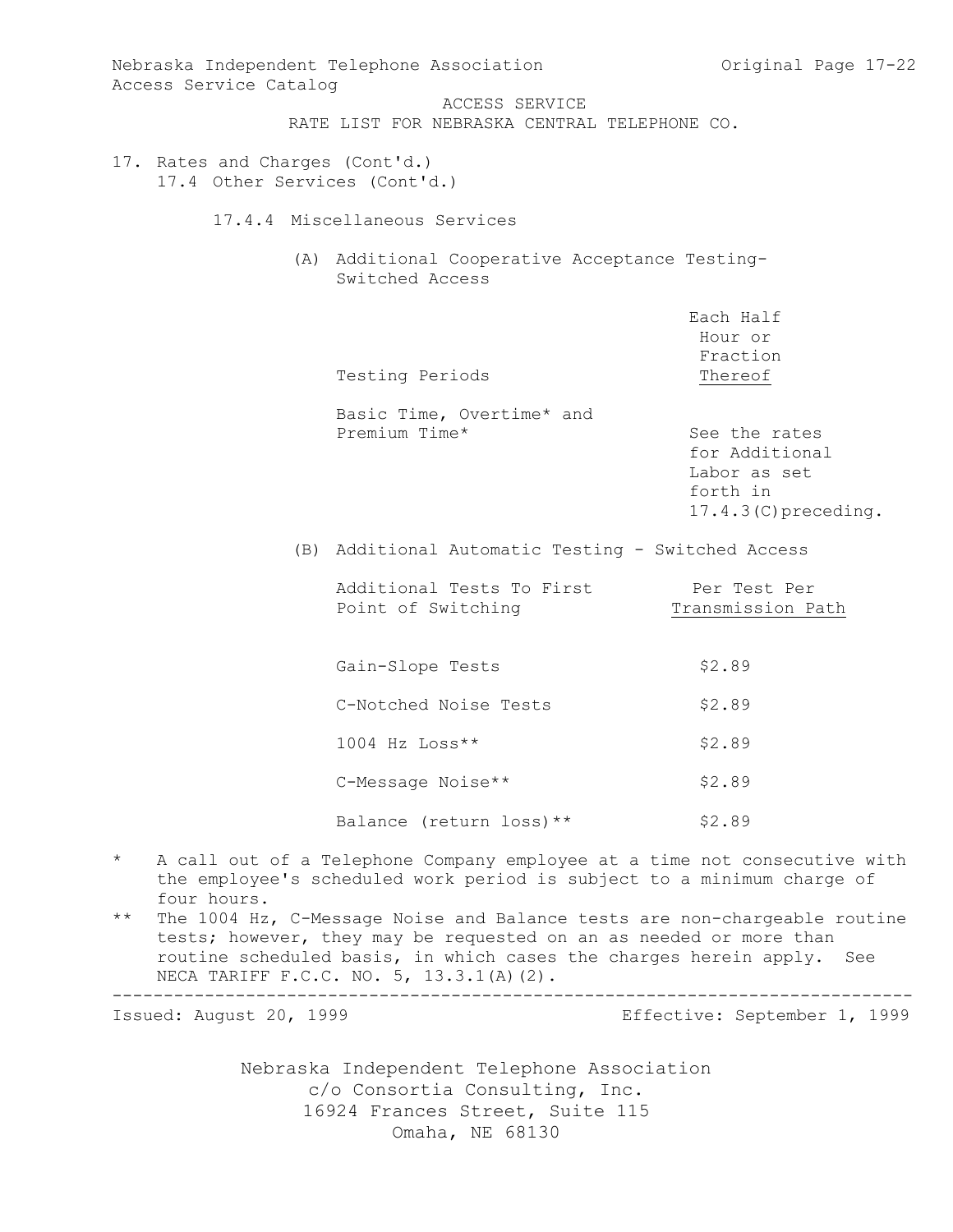Nebraska Independent Telephone Association and Original Page 17-22 Access Service Catalog ACCESS SERVICE RATE LIST FOR NEBRASKA CENTRAL TELEPHONE CO. 17. Rates and Charges (Cont'd.) 17.4 Other Services (Cont'd.) 17.4.4 Miscellaneous Services (A) Additional Cooperative Acceptance Testing-Switched Access Each Half Hour or Fraction Testing Periods Thereof Basic Time, Overtime\* and Premium Time\* See the rates for Additional Labor as set forth in 17.4.3(C)preceding. (B) Additional Automatic Testing - Switched Access Additional Tests To First Per Test Per Point of Switching Transmission Path Gain-Slope Tests \$2.89 C-Notched Noise Tests \$2.89  $1004$  Hz  $Loss**$  \$2.89 C-Message Noise\*\* \$2.89 Balance (return loss) \*\* \$2.89 \* A call out of a Telephone Company employee at a time not consecutive with the employee's scheduled work period is subject to a minimum charge of four hours. \*\* The 1004 Hz, C-Message Noise and Balance tests are non-chargeable routine tests; however, they may be requested on an as needed or more than routine scheduled basis, in which cases the charges herein apply. See NECA TARIFF F.C.C. NO. 5, 13.3.1(A)(2). ------------------------------------------------------------------------------ Issued: August 20, 1999 Effective: September 1, 1999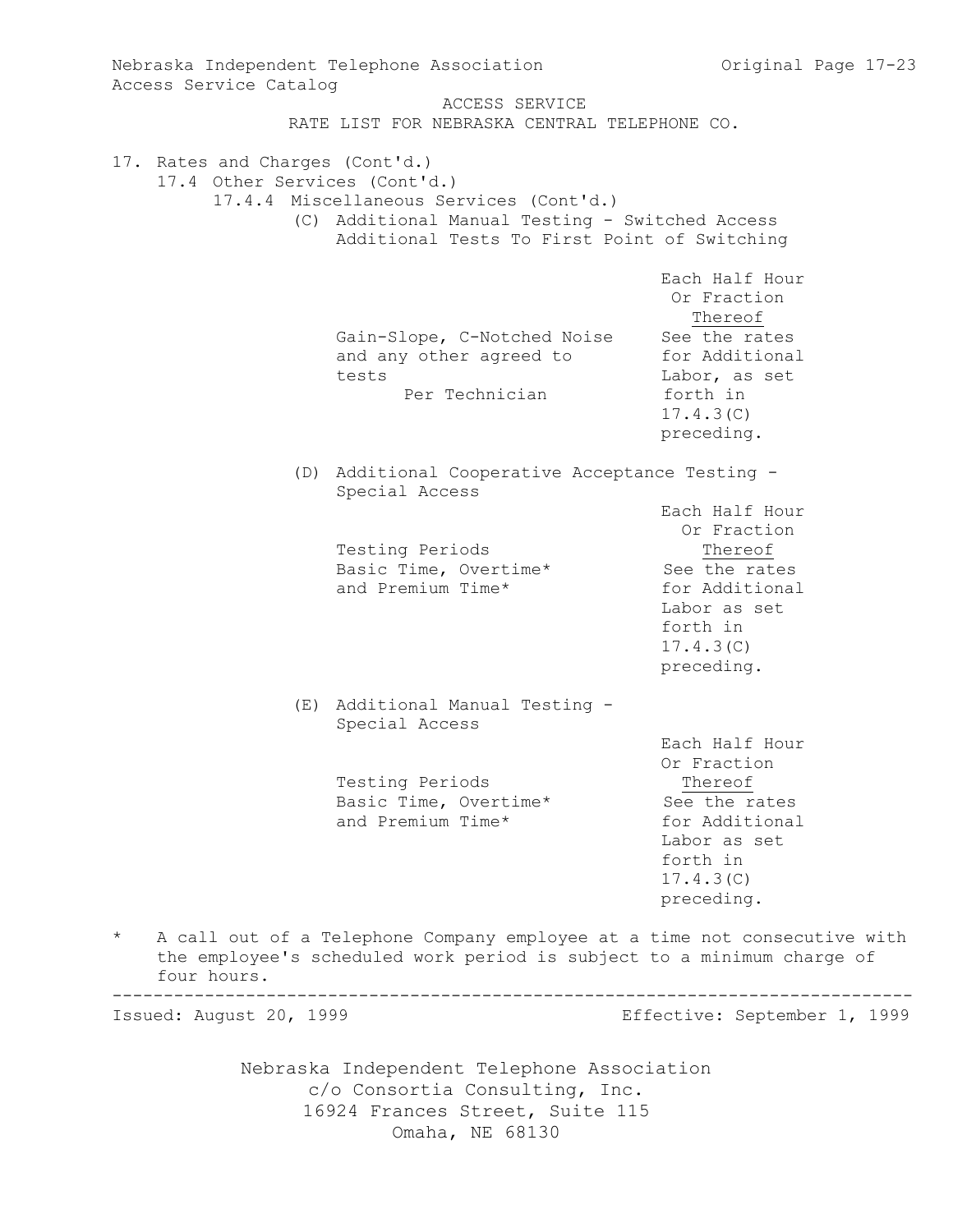Nebraska Independent Telephone Association c/o Consortia Consulting, Inc. 16924 Frances Street, Suite 115 Nebraska Independent Telephone Association and Original Page 17-23 Access Service Catalog ACCESS SERVICE RATE LIST FOR NEBRASKA CENTRAL TELEPHONE CO. 17. Rates and Charges (Cont'd.) 17.4 Other Services (Cont'd.) 17.4.4 Miscellaneous Services (Cont'd.) (C) Additional Manual Testing - Switched Access Additional Tests To First Point of Switching Each Half Hour Or Fraction Thereof Gain-Slope, C-Notched Noise See the rates and any other agreed to for Additional tests Labor, as set Per Technician forth in 17.4.3(C) preceding. (D) Additional Cooperative Acceptance Testing - Special Access Each Half Hour Or Fraction Testing Periods Thereof Basic Time, Overtime\* See the rates and Premium Time\* for Additional Labor as set forth in 17.4.3(C) preceding. (E) Additional Manual Testing - Special Access Each Half Hour Or Fraction Testing Periods Thereof Basic Time, Overtime\* See the rates and Premium Time\* for Additional Labor as set forth in 17.4.3(C) preceding. A call out of a Telephone Company employee at a time not consecutive with the employee's scheduled work period is subject to a minimum charge of four hours. ------------------------------------------------------------------------------ Issued: August 20, 1999 Effective: September 1, 1999

Omaha, NE 68130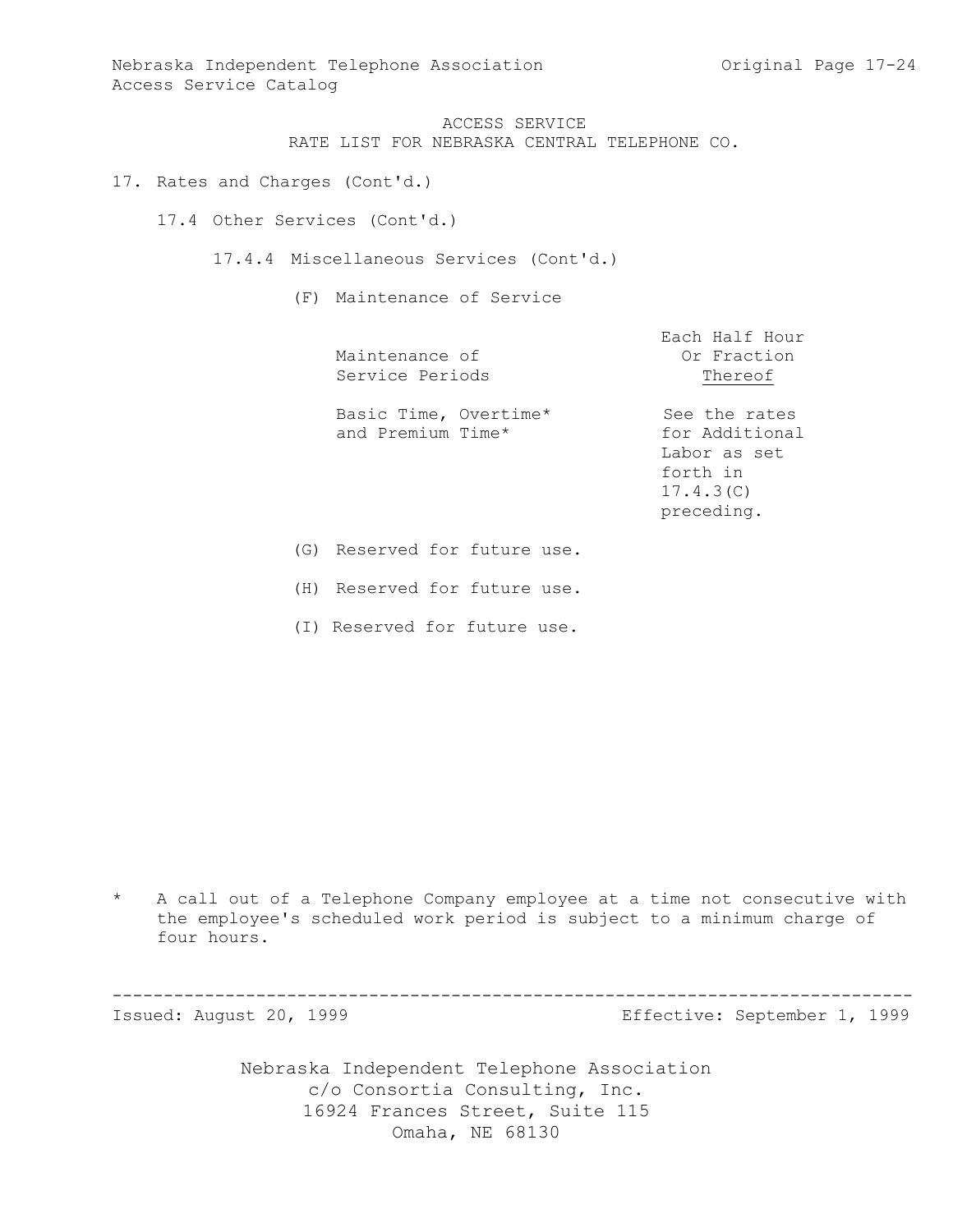Nebraska Independent Telephone Association and Chang Chiginal Page 17-24 Access Service Catalog

> ACCESS SERVICE RATE LIST FOR NEBRASKA CENTRAL TELEPHONE CO.

17. Rates and Charges (Cont'd.)

17.4 Other Services (Cont'd.)

17.4.4 Miscellaneous Services (Cont'd.)

(F) Maintenance of Service

| Maintenance of<br>Service Periods          | Each Half Hour<br>Or Fraction<br>Thereof                                               |
|--------------------------------------------|----------------------------------------------------------------------------------------|
| Basic Time, Overtime*<br>and Premium Time* | See the rates<br>for Additional<br>Labor as set<br>forth in<br>17.4.3(C)<br>preceding. |

(G) Reserved for future use.

(H) Reserved for future use.

(I) Reserved for future use.

\* A call out of a Telephone Company employee at a time not consecutive with the employee's scheduled work period is subject to a minimum charge of four hours.

------------------------------------------------------------------------------

Issued: August 20, 1999 Effective: September 1, 1999